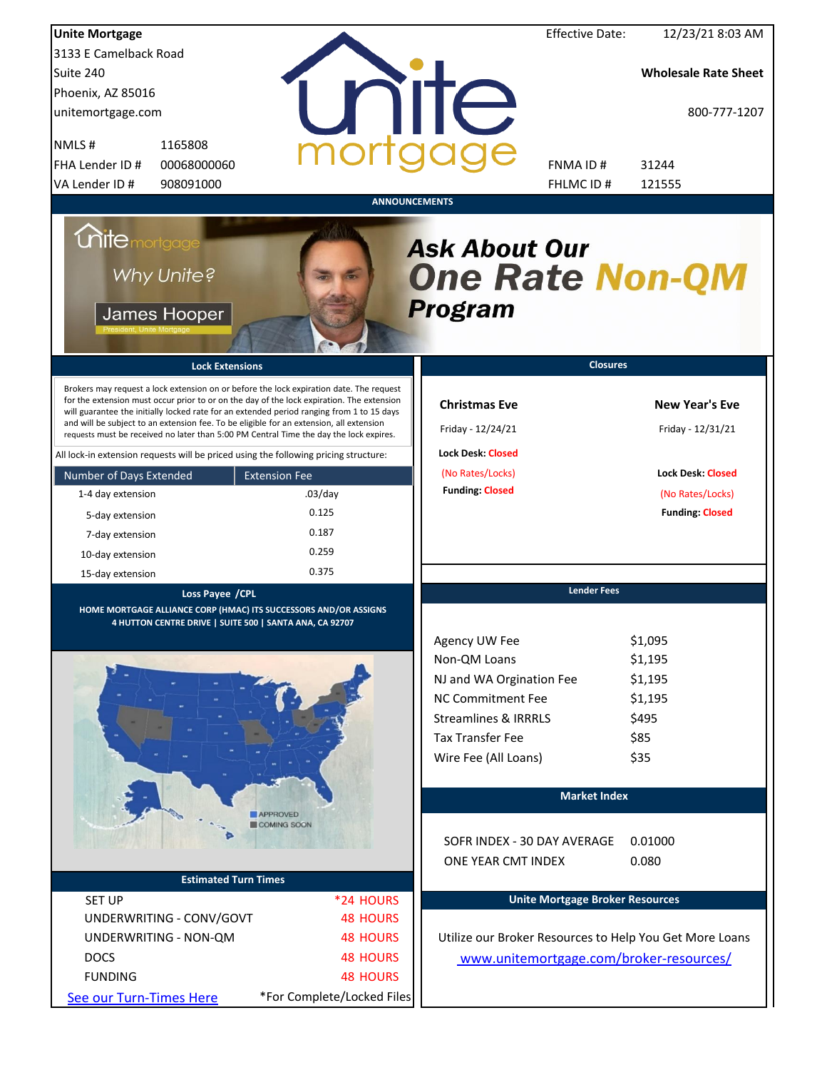| <b>Unite Mortgage</b>                                                                                                                                                                                                                                                                                                                                                                                                                                                                                                                                                                                                                                                                                                                 |                                                                                       |                                                                                                                                                                                         | <b>Effective Date:</b> | 12/23/21 8:03 AM                                                                                                     |
|---------------------------------------------------------------------------------------------------------------------------------------------------------------------------------------------------------------------------------------------------------------------------------------------------------------------------------------------------------------------------------------------------------------------------------------------------------------------------------------------------------------------------------------------------------------------------------------------------------------------------------------------------------------------------------------------------------------------------------------|---------------------------------------------------------------------------------------|-----------------------------------------------------------------------------------------------------------------------------------------------------------------------------------------|------------------------|----------------------------------------------------------------------------------------------------------------------|
| 3133 E Camelback Road                                                                                                                                                                                                                                                                                                                                                                                                                                                                                                                                                                                                                                                                                                                 |                                                                                       |                                                                                                                                                                                         |                        |                                                                                                                      |
| Suite 240                                                                                                                                                                                                                                                                                                                                                                                                                                                                                                                                                                                                                                                                                                                             |                                                                                       |                                                                                                                                                                                         |                        | <b>Wholesale Rate Sheet</b>                                                                                          |
| Phoenix, AZ 85016                                                                                                                                                                                                                                                                                                                                                                                                                                                                                                                                                                                                                                                                                                                     |                                                                                       |                                                                                                                                                                                         |                        |                                                                                                                      |
| unitemortgage.com                                                                                                                                                                                                                                                                                                                                                                                                                                                                                                                                                                                                                                                                                                                     |                                                                                       | <b>TITE</b>                                                                                                                                                                             |                        | 800-777-1207                                                                                                         |
| 1165808<br>NMLS#                                                                                                                                                                                                                                                                                                                                                                                                                                                                                                                                                                                                                                                                                                                      |                                                                                       |                                                                                                                                                                                         |                        |                                                                                                                      |
| FHA Lender ID #<br>00068000060                                                                                                                                                                                                                                                                                                                                                                                                                                                                                                                                                                                                                                                                                                        |                                                                                       | FNMA ID#                                                                                                                                                                                |                        | 31244                                                                                                                |
| VA Lender ID #<br>908091000                                                                                                                                                                                                                                                                                                                                                                                                                                                                                                                                                                                                                                                                                                           |                                                                                       | FHLMC ID #                                                                                                                                                                              |                        | 121555                                                                                                               |
| <b>Unite</b> mortgage<br>Why Unite?<br>James Hooper<br><b>Lock Extensions</b><br>Brokers may request a lock extension on or before the lock expiration date. The request<br>for the extension must occur prior to or on the day of the lock expiration. The extension<br>will guarantee the initially locked rate for an extended period ranging from 1 to 15 days<br>and will be subject to an extension fee. To be eligible for an extension, all extension<br>requests must be received no later than 5:00 PM Central Time the day the lock expires.<br>All lock-in extension requests will be priced using the following pricing structure:<br>Number of Days Extended<br>1-4 day extension<br>5-day extension<br>7-day extension | <b>ANNOUNCEMENTS</b><br><b>Extension Fee</b><br>$.03$ /day<br>0.125<br>0.187<br>0.259 | <b>Ask About Our</b><br><b>One Rate Non-QM</b><br><b>Program</b><br><b>Christmas Eve</b><br>Friday - 12/24/21<br><b>Lock Desk: Closed</b><br>(No Rates/Locks)<br><b>Funding: Closed</b> | <b>Closures</b>        | <b>New Year's Eve</b><br>Friday - 12/31/21<br><b>Lock Desk: Closed</b><br>(No Rates/Locks)<br><b>Funding: Closed</b> |
| 10-day extension                                                                                                                                                                                                                                                                                                                                                                                                                                                                                                                                                                                                                                                                                                                      | 0.375                                                                                 |                                                                                                                                                                                         |                        |                                                                                                                      |
| 15-day extension                                                                                                                                                                                                                                                                                                                                                                                                                                                                                                                                                                                                                                                                                                                      |                                                                                       |                                                                                                                                                                                         | <b>Lender Fees</b>     |                                                                                                                      |
| Loss Payee / CPL<br>HOME MORTGAGE ALLIANCE CORP (HMAC) ITS SUCCESSORS AND/OR ASSIGNS<br>4 HUTTON CENTRE DRIVE   SUITE 500   SANTA ANA, CA 92707                                                                                                                                                                                                                                                                                                                                                                                                                                                                                                                                                                                       |                                                                                       |                                                                                                                                                                                         |                        |                                                                                                                      |
|                                                                                                                                                                                                                                                                                                                                                                                                                                                                                                                                                                                                                                                                                                                                       |                                                                                       | Agency UW Fee<br>Non-QM Loans<br>NJ and WA Orgination Fee<br><b>NC Commitment Fee</b><br><b>Streamlines &amp; IRRRLS</b><br><b>Tax Transfer Fee</b><br>Wire Fee (All Loans)             |                        | \$1,095<br>\$1,195<br>\$1,195<br>\$1,195<br>\$495<br>\$85<br>\$35                                                    |
|                                                                                                                                                                                                                                                                                                                                                                                                                                                                                                                                                                                                                                                                                                                                       |                                                                                       |                                                                                                                                                                                         | <b>Market Index</b>    |                                                                                                                      |
|                                                                                                                                                                                                                                                                                                                                                                                                                                                                                                                                                                                                                                                                                                                                       | <b>APPROVED</b><br>COMING SOON                                                        | SOFR INDEX - 30 DAY AVERAGE<br>ONE YEAR CMT INDEX                                                                                                                                       |                        | 0.01000<br>0.080                                                                                                     |
| <b>Estimated Turn Times</b>                                                                                                                                                                                                                                                                                                                                                                                                                                                                                                                                                                                                                                                                                                           |                                                                                       |                                                                                                                                                                                         |                        |                                                                                                                      |
| <b>SET UP</b>                                                                                                                                                                                                                                                                                                                                                                                                                                                                                                                                                                                                                                                                                                                         | *24 HOURS                                                                             | <b>Unite Mortgage Broker Resources</b>                                                                                                                                                  |                        |                                                                                                                      |
| UNDERWRITING - CONV/GOVT                                                                                                                                                                                                                                                                                                                                                                                                                                                                                                                                                                                                                                                                                                              | <b>48 HOURS</b>                                                                       |                                                                                                                                                                                         |                        |                                                                                                                      |
| UNDERWRITING - NON-QM                                                                                                                                                                                                                                                                                                                                                                                                                                                                                                                                                                                                                                                                                                                 | <b>48 HOURS</b>                                                                       | Utilize our Broker Resources to Help You Get More Loans                                                                                                                                 |                        |                                                                                                                      |
| <b>DOCS</b>                                                                                                                                                                                                                                                                                                                                                                                                                                                                                                                                                                                                                                                                                                                           | <b>48 HOURS</b>                                                                       | www.unitemortgage.com/broker-resources/                                                                                                                                                 |                        |                                                                                                                      |
| <b>FUNDING</b>                                                                                                                                                                                                                                                                                                                                                                                                                                                                                                                                                                                                                                                                                                                        | <b>48 HOURS</b>                                                                       |                                                                                                                                                                                         |                        |                                                                                                                      |
| See our Turn-Times Here                                                                                                                                                                                                                                                                                                                                                                                                                                                                                                                                                                                                                                                                                                               | *For Complete/Locked Files                                                            |                                                                                                                                                                                         |                        |                                                                                                                      |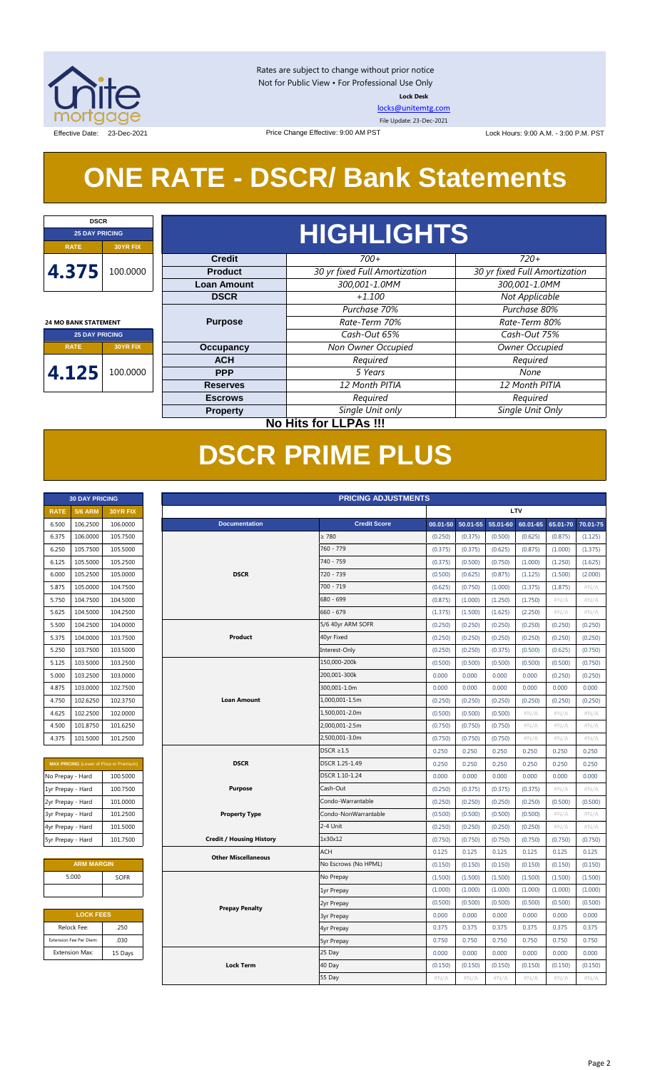

Rates are subject to change without prior notice Not for Public View • For Professional Use Only **Lock Desk**

[locks@unitemtg.com](mailto:locks@unitemtg.com)

File Update: 23-Dec-2021

Effective Date: 23-Dec-2021 23-Dec-2021 Price Change Effective: 9:00 AM PST Lock Hours: 9:00 A.M. - 3:00 P.M. PST

## **ONE RATE - DSCR/ Bank Statements**

Price Change Effective: 9:00 AM PST

| <b>DSCR</b>                 |                              |                    |                               |                               |  |  |  |  |  |  |  |
|-----------------------------|------------------------------|--------------------|-------------------------------|-------------------------------|--|--|--|--|--|--|--|
| <b>25 DAY PRICING</b>       |                              | <b>HIGHLIGHTS</b>  |                               |                               |  |  |  |  |  |  |  |
| <b>RATE</b>                 | <b>30YR FIX</b>              |                    |                               |                               |  |  |  |  |  |  |  |
|                             |                              | <b>Credit</b>      | $700+$                        | $720+$                        |  |  |  |  |  |  |  |
| 4.375                       | 100.0000                     | <b>Product</b>     | 30 yr fixed Full Amortization | 30 yr fixed Full Amortization |  |  |  |  |  |  |  |
|                             |                              | <b>Loan Amount</b> | 300,001-1.0MM                 | 300,001-1.0MM                 |  |  |  |  |  |  |  |
|                             |                              | <b>DSCR</b>        | $+1.100$                      | Not Applicable                |  |  |  |  |  |  |  |
|                             |                              |                    | Purchase 70%                  | Purchase 80%                  |  |  |  |  |  |  |  |
| <b>24 MO BANK STATEMENT</b> |                              | <b>Purpose</b>     | Rate-Term 70%                 | Rate-Term 80%                 |  |  |  |  |  |  |  |
| <b>25 DAY PRICING</b>       |                              |                    | Cash-Out 65%                  | Cash-Out 75%                  |  |  |  |  |  |  |  |
| <b>RATE</b>                 | <b>30YR FIX</b>              | <b>Occupancy</b>   | Non Owner Occupied            | Owner Occupied                |  |  |  |  |  |  |  |
|                             |                              | <b>ACH</b>         | Required                      | Required                      |  |  |  |  |  |  |  |
| 4.125                       | 100.0000                     | <b>PPP</b>         | 5 Years                       | None                          |  |  |  |  |  |  |  |
|                             |                              | <b>Reserves</b>    | 12 Month PITIA                | 12 Month PITIA                |  |  |  |  |  |  |  |
|                             |                              | <b>Escrows</b>     | Required                      | Required                      |  |  |  |  |  |  |  |
|                             |                              | <b>Property</b>    | Single Unit only              | Single Unit Only              |  |  |  |  |  |  |  |
|                             | <b>No Hits for LLPAs !!!</b> |                    |                               |                               |  |  |  |  |  |  |  |

## **DSCR PRIME PLUS**

| <b>30 DAY PRICING</b> |                |                 |  |  |  |  |  |  |
|-----------------------|----------------|-----------------|--|--|--|--|--|--|
| <b>RATE</b>           | <b>5/6 ARM</b> | <b>30YR FIX</b> |  |  |  |  |  |  |
| 6.500                 | 106.2500       | 106.0000        |  |  |  |  |  |  |
| 6.375                 | 106.0000       | 105.7500        |  |  |  |  |  |  |
| 6.250                 | 105.7500       | 105.5000        |  |  |  |  |  |  |
| 6.125                 | 105.5000       | 105.2500        |  |  |  |  |  |  |
| 6.000                 | 105.2500       | 105.0000        |  |  |  |  |  |  |
| 5.875                 | 105.0000       | 104.7500        |  |  |  |  |  |  |
| 5.750                 | 104.7500       | 104.5000        |  |  |  |  |  |  |
| 5.625                 | 104.5000       | 104.2500        |  |  |  |  |  |  |
| 5.500                 | 104.2500       | 104.0000        |  |  |  |  |  |  |
| 5.375                 | 104.0000       | 103.7500        |  |  |  |  |  |  |
| 5.250                 | 103.7500       | 103.5000        |  |  |  |  |  |  |
| 5.125                 | 103.5000       | 103.2500        |  |  |  |  |  |  |
| 5.000                 | 103.2500       | 103.0000        |  |  |  |  |  |  |
| 4.875                 | 103,0000       | 102.7500        |  |  |  |  |  |  |
| 4.750                 | 102.6250       | 102.3750        |  |  |  |  |  |  |
| 4.625                 | 102.2500       | 102.0000        |  |  |  |  |  |  |
| 4.500                 | 101.8750       | 101.6250        |  |  |  |  |  |  |
| 4.375                 | 101.5000       | 101.2500        |  |  |  |  |  |  |

| <b>MAX PRICING (Lower of Price or Premium)</b> |          |  |  |  |  |  |  |  |
|------------------------------------------------|----------|--|--|--|--|--|--|--|
| No Prepay - Hard                               | 100.5000 |  |  |  |  |  |  |  |
| 1yr Prepay - Hard                              | 100.7500 |  |  |  |  |  |  |  |
| 2yr Prepay - Hard                              | 101.0000 |  |  |  |  |  |  |  |
| 3yr Prepay - Hard                              | 101.2500 |  |  |  |  |  |  |  |
| 4yr Prepay - Hard                              | 101.5000 |  |  |  |  |  |  |  |
| 5yr Prepay - Hard                              | 101.7500 |  |  |  |  |  |  |  |

| <b>ARM MARGIN</b> |             |  |  |  |  |  |  |
|-------------------|-------------|--|--|--|--|--|--|
| 5.000             | <b>SOFR</b> |  |  |  |  |  |  |
|                   |             |  |  |  |  |  |  |

| <b>LOCK FEES</b> |  |  |  |  |  |  |  |
|------------------|--|--|--|--|--|--|--|
| .250             |  |  |  |  |  |  |  |
| .030             |  |  |  |  |  |  |  |
| 15 Days          |  |  |  |  |  |  |  |
|                  |  |  |  |  |  |  |  |

|                   | <b>30 DAY PRICING</b><br><b>PRICING ADJUSTMENTS</b> |                                                |                                 |  |                      |              |          |              |          |          |          |
|-------------------|-----------------------------------------------------|------------------------------------------------|---------------------------------|--|----------------------|--------------|----------|--------------|----------|----------|----------|
| <b>RATE</b>       | <b>5/6 ARM</b>                                      | 30YR FIX                                       |                                 |  |                      |              |          |              | LTV      |          |          |
| 6.500             | 106.2500                                            | 106.0000                                       | <b>Documentation</b>            |  | <b>Credit Score</b>  | $00.01 - 50$ | 50.01-55 | $55.01 - 60$ | 60.01-65 | 65.01-70 | 70.01-75 |
| 6.375             | 106.0000                                            | 105.7500                                       |                                 |  | $\geq 780$           | (0.250)      | (0.375)  | (0.500)      | (0.625)  | (0.875)  | (1.125)  |
| 6.250             | 105.7500                                            | 105.5000                                       |                                 |  | 760 - 779            | (0.375)      | (0.375)  | (0.625)      | (0.875)  | (1.000)  | (1.375)  |
| 6.125             | 105.5000                                            | 105.2500                                       |                                 |  | 740 - 759            | (0.375)      | (0.500)  | (0.750)      | (1.000)  | (1.250)  | (1.625)  |
| 6.000             | 105.2500                                            | 105.0000                                       | <b>DSCR</b>                     |  | 720 - 739            | (0.500)      | (0.625)  | (0.875)      | (1.125)  | (1.500)  | (2.000)  |
| 5.875             | 105.0000                                            | 104.7500                                       |                                 |  | 700 - 719            | (0.625)      | (0.750)  | (1.000)      | (1.375)  | (1.875)  | #N/A     |
| 5.750             | 104.7500                                            | 104.5000                                       |                                 |  | 680 - 699            | (0.875)      | (1.000)  | (1.250)      | (1.750)  | #N/A     | #N/A     |
| 5.625             | 104.5000                                            | 104.2500                                       |                                 |  | $660 - 679$          | (1.375)      | (1.500)  | (1.625)      | (2.250)  | #N/A     | #N/A     |
| 5.500             | 104.2500                                            | 104.0000                                       |                                 |  | 5/6 40yr ARM SOFR    | (0.250)      | (0.250)  | (0.250)      | (0.250)  | (0.250)  | (0.250)  |
| 5.375             | 104.0000                                            | 103.7500                                       | Product                         |  | 40yr Fixed           | (0.250)      | (0.250)  | (0.250)      | (0.250)  | (0.250)  | (0.250)  |
| 5.250             | 103.7500                                            | 103.5000                                       |                                 |  | Interest-Only        | (0.250)      | (0.250)  | (0.375)      | (0.500)  | (0.625)  | (0.750)  |
| 5.125             | 103.5000                                            | 103.2500                                       |                                 |  | 150,000-200k         | (0.500)      | (0.500)  | (0.500)      | (0.500)  | (0.500)  | (0.750)  |
| 5.000             | 103.2500                                            | 103.0000                                       |                                 |  | 200,001-300k         | 0.000        | 0.000    | 0.000        | 0.000    | (0.250)  | (0.250)  |
| 4.875             | 103.0000                                            | 102.7500                                       |                                 |  | 300,001-1.0m         | 0.000        | 0.000    | 0.000        | 0.000    | 0.000    | 0.000    |
| 4.750             | 102.6250                                            | 102.3750                                       | <b>Loan Amount</b>              |  | 1,000,001-1.5m       | (0.250)      | (0.250)  | (0.250)      | (0.250)  | (0.250)  | (0.250)  |
| 4.625             | 102.2500                                            | 102.0000                                       |                                 |  | 1,500,001-2.0m       | (0.500)      | (0.500)  | (0.500)      | #N/A     | #N/A     | #N/A     |
| 4.500             | 101.8750                                            | 101.6250                                       |                                 |  | 2,000,001-2.5m       | (0.750)      | (0.750)  | (0.750)      | $\#N/A$  | #N/A     | $\#N/A$  |
| 4.375             | 101.5000                                            | 101.2500                                       |                                 |  | 2,500,001-3.0m       | (0.750)      | (0.750)  | (0.750)      | #N/A     | #N/A     | #N/A     |
|                   |                                                     |                                                |                                 |  | $DSCR \geq 1.5$      | 0.250        | 0.250    | 0.250        | 0.250    | 0.250    | 0.250    |
|                   |                                                     | <b>MAX PRICING</b> (Lower of Price or Premium) | <b>DSCR</b>                     |  | DSCR 1.25-1.49       | 0.250        | 0.250    | 0.250        | 0.250    | 0.250    | 0.250    |
| No Prepay - Hard  |                                                     | 100.5000                                       |                                 |  | DSCR 1.10-1.24       | 0.000        | 0.000    | 0.000        | 0.000    | 0.000    | 0.000    |
| 1yr Prepay - Hard |                                                     | 100.7500                                       | <b>Purpose</b>                  |  | Cash-Out             | (0.250)      | (0.375)  | (0.375)      | (0.375)  | #N/A     | #N/A     |
| 2yr Prepay - Hard |                                                     | 101.0000                                       |                                 |  | Condo-Warrantable    | (0.250)      | (0.250)  | (0.250)      | (0.250)  | (0.500)  | (0.500)  |
| 3yr Prepay - Hard |                                                     | 101.2500                                       | <b>Property Type</b>            |  | Condo-NonWarrantable | (0.500)      | (0.500)  | (0.500)      | (0.500)  | #N/A     | #N/A     |
| 4yr Prepay - Hard |                                                     | 101.5000                                       |                                 |  | 2-4 Unit             | (0.250)      | (0.250)  | (0.250)      | (0.250)  | $\#N/A$  | #N/A     |
| 5yr Prepay - Hard |                                                     | 101.7500                                       | <b>Credit / Housing History</b> |  | 1x30x12              | (0.750)      | (0.750)  | (0.750)      | (0.750)  | (0.750)  | (0.750)  |
|                   |                                                     |                                                | <b>Other Miscellaneous</b>      |  | <b>ACH</b>           | 0.125        | 0.125    | 0.125        | 0.125    | 0.125    | 0.125    |
|                   | <b>ARM MARGIN</b>                                   |                                                |                                 |  | No Escrows (No HPML) | (0.150)      | (0.150)  | (0.150)      | (0.150)  | (0.150)  | (0.150)  |
|                   | 5.000                                               | SOFR                                           |                                 |  | No Prepay            | (1.500)      | (1.500)  | (1.500)      | (1.500)  | (1.500)  | (1.500)  |
|                   |                                                     |                                                |                                 |  | 1yr Prepay           | (1.000)      | (1.000)  | (1.000)      | (1.000)  | (1.000)  | (1.000)  |
|                   |                                                     |                                                | <b>Prepay Penalty</b>           |  | 2yr Prepay           | (0.500)      | (0.500)  | (0.500)      | (0.500)  | (0.500)  | (0.500)  |
|                   | <b>LOCK FEES</b>                                    |                                                |                                 |  | <b>3yr Prepay</b>    | 0.000        | 0.000    | 0.000        | 0.000    | 0.000    | 0.000    |
|                   | Relock Fee:                                         | .250                                           |                                 |  | 4yr Prepay           | 0.375        | 0.375    | 0.375        | 0.375    | 0.375    | 0.375    |
|                   | Extension Fee Per Diem:                             | .030                                           |                                 |  | 5yr Prepay           | 0.750        | 0.750    | 0.750        | 0.750    | 0.750    | 0.750    |
|                   | <b>Extension Max:</b>                               | 15 Days                                        |                                 |  | 25 Day               | 0.000        | 0.000    | 0.000        | 0.000    | 0.000    | 0.000    |
|                   |                                                     |                                                | <b>Lock Term</b>                |  | 40 Day               | (0.150)      | (0.150)  | (0.150)      | (0.150)  | (0.150)  | (0.150)  |
|                   |                                                     |                                                |                                 |  | 55 Day               | $\#N/A$      | #N/A     | #N/A         | #N/A     | #N/A     | #N/A     |
|                   |                                                     |                                                |                                 |  |                      |              |          |              |          |          |          |

#### Page 2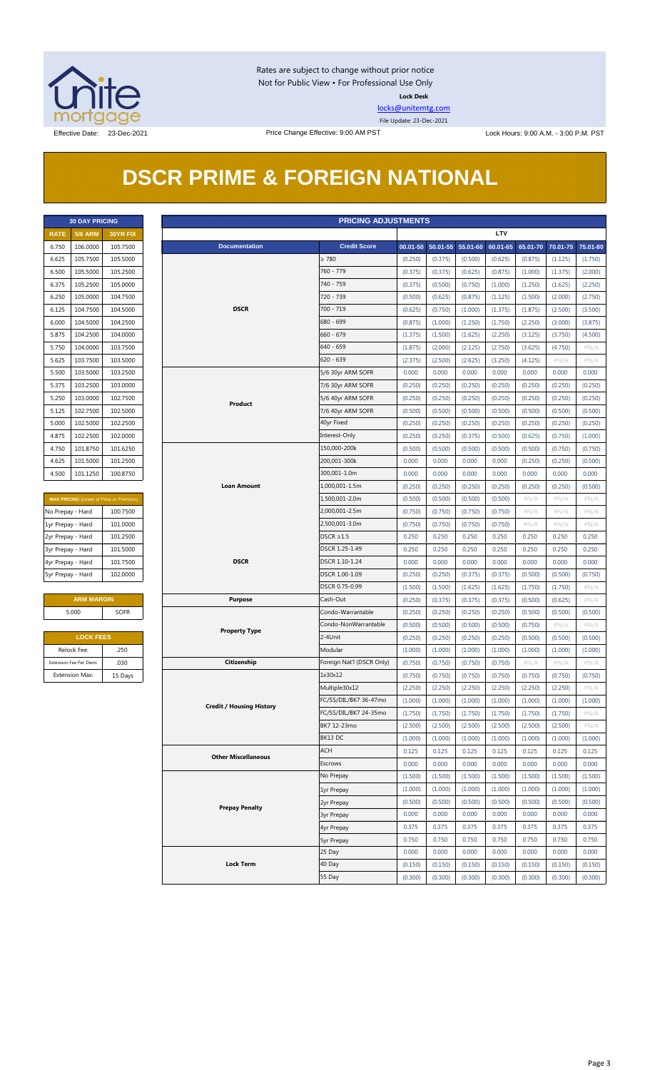

Rates are subject to change without prior notice Not for Public View • For Professional Use Only **Lock Desk**

[locks@unitemtg.com](mailto:locks@unitemtg.com)

File Update: 23-Dec-2021

## **DSCR PRIME & FOREIGN NATIONAL**

|             | <b>30 DAY PRICING</b> |                 |
|-------------|-----------------------|-----------------|
| <b>RATE</b> | <b>5/6 ARM</b>        | <b>30YR FIX</b> |
| 6.750       | 106.0000              | 105.7500        |
| 6.625       | 105.7500              | 105.5000        |
| 6.500       | 105.5000              | 105.2500        |
| 6.375       | 105.2500              | 105.0000        |
| 6.250       | 105.0000              | 104.7500        |
| 6.125       | 104.7500              | 104.5000        |
| 6.000       | 104.5000              | 104.2500        |
| 5.875       | 104.2500              | 104.0000        |
| 5.750       | 104.0000              | 103.7500        |
| 5.625       | 103.7500              | 103.5000        |
| 5.500       | 103.5000              | 103.2500        |
| 5.375       | 103.2500              | 103.0000        |
| 5.250       | 103.0000              | 102.7500        |
| 5.125       | 102.7500              | 102.5000        |
| 5.000       | 102.5000              | 102.2500        |
| 4.875       | 102.2500              | 102,0000        |
| 4.750       | 101.8750              | 101.6250        |
| 4.625       | 101.5000              | 101.2500        |
| 4.500       | 101.1250              | 100.8750        |

| <b>MAX PRICING</b> (Lower of Price or Premium) |          |  |  |  |  |  |  |  |
|------------------------------------------------|----------|--|--|--|--|--|--|--|
| No Prepay - Hard                               | 100.7500 |  |  |  |  |  |  |  |
| 1yr Prepay - Hard                              | 101.0000 |  |  |  |  |  |  |  |
| 2yr Prepay - Hard                              | 101.2500 |  |  |  |  |  |  |  |
| 3yr Prepay - Hard                              | 101.5000 |  |  |  |  |  |  |  |
| 4yr Prepay - Hard                              | 101.7500 |  |  |  |  |  |  |  |
| 5yr Prepay - Hard                              | 102.0000 |  |  |  |  |  |  |  |

| <b>ARM MARGIN</b> |             |  |  |  |  |  |  |
|-------------------|-------------|--|--|--|--|--|--|
| 5.000             | <b>SOFR</b> |  |  |  |  |  |  |
|                   |             |  |  |  |  |  |  |

| <b>LOCK FEES</b>        |         |  |  |  |  |  |  |
|-------------------------|---------|--|--|--|--|--|--|
| Relock Fee:             | .250    |  |  |  |  |  |  |
| Extension Fee Per Diem: | .030    |  |  |  |  |  |  |
| <b>Extension Max:</b>   | 15 Days |  |  |  |  |  |  |

|                         | <b>PRICING ADJUSTMENTS</b><br><b>30 DAY PRICING</b> |                                         |  |                                 |                                                |         |                            |         |            |         |                            |                    |
|-------------------------|-----------------------------------------------------|-----------------------------------------|--|---------------------------------|------------------------------------------------|---------|----------------------------|---------|------------|---------|----------------------------|--------------------|
| <b>RATE</b>             | <b>5/6 ARM</b>                                      | 30YR FIX                                |  |                                 |                                                |         |                            |         | <b>LTV</b> |         |                            |                    |
| 6.750                   | 106.0000                                            | 105.7500                                |  | <b>Documentation</b>            | <b>Credit Score</b>                            |         | 00.01-50 50.01-55 55.01-60 |         | 60.01-65   |         | 65.01-70 70.01-75 75.01-80 |                    |
| 6.625                   | 105.7500                                            | 105.5000                                |  |                                 | $\geq 780$                                     | (0.250) | (0.375)                    | (0.500) | (0.625)    | (0.875) | (1.125)                    | (1.750)            |
| 6.500                   | 105.5000                                            | 105.2500                                |  |                                 | 760 - 779                                      | (0.375) | (0.375)                    | (0.625) | (0.875)    | (1.000) | (1.375)                    | (2.000)            |
| 6.375                   | 105.2500                                            | 105.0000                                |  |                                 | 740 - 759                                      | (0.375) | (0.500)                    | (0.750) | (1.000)    | (1.250) | (1.625)                    | (2.250)            |
| 6.250                   | 105.0000                                            | 104.7500                                |  |                                 | 720 - 739                                      | (0.500) | (0.625)                    | (0.875) | (1.125)    | (1.500) | (2.000)                    | (2.750)            |
| 6.125                   | 104.7500                                            | 104.5000                                |  | <b>DSCR</b>                     | 700 - 719                                      | (0.625) | (0.750)                    | (1.000) | (1.375)    | (1.875) | (2.500)                    | (3.500)            |
| 6.000                   | 104.5000                                            | 104.2500                                |  |                                 | 680 - 699                                      | (0.875) | (1.000)                    | (1.250) | (1.750)    | (2.250) | (3.000)                    | (3.875)            |
| 5.875                   | 104.2500                                            | 104.0000                                |  |                                 | $660 - 679$                                    | (1.375) | (1.500)                    | (1.625) | (2.250)    | (3.125) | (3.750)                    | (4.500)            |
| 5.750                   | 104.0000                                            | 103.7500                                |  |                                 | 640 - 659                                      | (1.875) | (2.000)                    | (2.125) | (2.750)    | (3.625) | (4.750)                    | $\#N/A$            |
| 5.625                   | 103.7500                                            | 103.5000                                |  |                                 | $620 - 639$                                    | (2.375) | (2.500)                    | (2.625) | (3.250)    | (4.125) | # $N/A$                    | $\#N/A$            |
| 5.500                   | 103.5000                                            | 103.2500                                |  |                                 | 5/6 30yr ARM SOFR                              | 0.000   | 0.000                      | 0.000   | 0.000      | 0.000   | 0.000                      | 0.000              |
| 5.375                   | 103.2500                                            | 103.0000                                |  |                                 |                                                | (0.250) | (0.250)                    | (0.250) | (0.250)    | (0.250) | (0.250)                    | (0.250)            |
|                         |                                                     |                                         |  |                                 | 7/6 30yr ARM SOFR                              |         |                            |         |            |         |                            |                    |
| 5.250                   | 103.0000                                            | 102.7500                                |  | Product                         | 5/6 40yr ARM SOFR                              | (0.250) | (0.250)                    | (0.250) | (0.250)    | (0.250) | (0.250)                    | (0.250)            |
| 5.125                   | 102.7500                                            | 102.5000                                |  |                                 | 7/6 40yr ARM SOFR                              | (0.500) | (0.500)                    | (0.500) | (0.500)    | (0.500) | (0.500)                    | (0.500)            |
| 5.000                   | 102.5000                                            | 102.2500                                |  |                                 | 40yr Fixed                                     | (0.250) | (0.250)                    | (0.250) | (0.250)    | (0.250) | (0.250)                    | (0.250)            |
| 4.875                   | 102.2500                                            | 102.0000                                |  |                                 | Interest-Only                                  | (0.250) | (0.250)                    | (0.375) | (0.500)    | (0.625) | (0.750)                    | (1.000)            |
| 4.750                   | 101.8750                                            | 101.6250                                |  |                                 | 150,000-200k                                   | (0.500) | (0.500)                    | (0.500) | (0.500)    | (0.500) | (0.750)                    | (0.750)            |
| 4.625                   | 101.5000                                            | 101.2500                                |  |                                 | 200,001-300k                                   | 0.000   | 0.000                      | 0.000   | 0.000      | (0.250) | (0.250)                    | (0.500)            |
| 4.500                   | 101.1250                                            | 100.8750                                |  |                                 | 300,001-1.0m                                   | 0.000   | 0.000                      | 0.000   | 0.000      | 0.000   | 0.000                      | 0.000              |
|                         |                                                     |                                         |  | <b>Loan Amount</b>              | 1,000,001-1.5m                                 | (0.250) | (0.250)                    | (0.250) | (0.250)    | (0.250) | (0.250)                    | (0.500)            |
|                         |                                                     | MAX PRICING (Lower of Price or Premium) |  |                                 | 1,500,001-2.0m                                 | (0.500) | (0.500)                    | (0.500) | (0.500)    | $\#N/A$ | #N/A                       | $\#N/A$            |
| No Prepay - Hard        |                                                     | 100.7500                                |  |                                 | 2,000,001-2.5m                                 | (0.750) | (0.750)                    | (0.750) | (0.750)    | # $N/A$ | # $N/A$                    | $\#N/A$            |
| 1yr Prepay - Hard       |                                                     | 101.0000                                |  |                                 | 2,500,001-3.0m                                 | (0.750) | (0.750)                    | (0.750) | (0.750)    | # $N/A$ | # $N/A$                    | $\#N/A$            |
| 2yr Prepay - Hard       |                                                     | 101.2500                                |  |                                 | $DSCR \geq 1.5$                                | 0.250   | 0.250                      | 0.250   | 0.250      | 0.250   | 0.250                      | 0.250              |
| 3yr Prepay - Hard       |                                                     | 101.5000                                |  |                                 | DSCR 1.25-1.49                                 | 0.250   | 0.250                      | 0.250   | 0.250      | 0.250   | 0.250                      | 0.250              |
| 4yr Prepay - Hard       |                                                     | 101.7500                                |  | <b>DSCR</b>                     | DSCR 1.10-1.24                                 | 0.000   | 0.000                      | 0.000   | 0.000      | 0.000   | 0.000                      | 0.000              |
| 5yr Prepay - Hard       |                                                     | 102.0000                                |  |                                 | DSCR 1.00-1.09                                 | (0.250) | (0.250)                    | (0.375) | (0.375)    | (0.500) | (0.500)                    | (0.750)            |
|                         |                                                     |                                         |  |                                 | DSCR 0.75-0.99                                 | (1.500) | (1.500)                    | (1.625) | (1.625)    | (1.750) | (1.750)                    | #N/A               |
|                         | <b>ARM MARGIN</b>                                   |                                         |  | <b>Purpose</b>                  | Cash-Out                                       | (0.250) | (0.375)                    | (0.375) | (0.375)    | (0.500) | (0.625)                    | $\#N/A$            |
| 5.000                   |                                                     | <b>SOFR</b>                             |  |                                 | Condo-Warrantable                              | (0.250) | (0.250)                    | (0.250) | (0.250)    | (0.500) | (0.500)                    | (0.500)            |
|                         |                                                     |                                         |  |                                 | Condo-NonWarrantable                           | (0.500) | (0.500)                    | (0.500) | (0.500)    | (0.750) | #N/A                       | #N/A               |
|                         | <b>LOCK FEES</b>                                    |                                         |  | <b>Property Type</b>            | 2-4Unit                                        | (0.250) | (0.250)                    | (0.250) | (0.250)    | (0.500) | (0.500)                    | (0.500)            |
| Relock Fee:             |                                                     | .250                                    |  |                                 | Modular                                        | (1.000) | (1.000)                    | (1.000) | (1.000)    | (1.000) | (1.000)                    | (1.000)            |
| Extension Fee Per Diem: |                                                     | .030                                    |  | Citizenship                     | Foreign Nat'l (DSCR Only)                      | (0.750) | (0.750)                    | (0.750) | (0.750)    | $\#N/A$ | $\#N/A$                    | $\#N/A$            |
| <b>Extension Max:</b>   |                                                     | 15 Days                                 |  |                                 | 1x30x12                                        | (0.750) | (0.750)                    | (0.750) | (0.750)    | (0.750) | (0.750)                    | (0.750)            |
|                         |                                                     |                                         |  |                                 | Multiple30x12                                  | (2.250) | (2.250)                    | (2.250) | (2.250)    | (2.250) | (2.250)                    | $\#N/A$            |
|                         |                                                     |                                         |  |                                 |                                                |         |                            |         |            |         |                            |                    |
|                         |                                                     |                                         |  | <b>Credit / Housing History</b> | FC/SS/DIL/BK7 36-47mo<br>FC/SS/DIL/BK7 24-35mo | (1.000) | (1.000)                    | (1.000) | (1.000)    | (1.000) | (1.000)                    | (1.000)<br>$\#N/A$ |
|                         |                                                     |                                         |  |                                 |                                                | (1.750) | (1.750)                    | (1.750) | (1.750)    | (1.750) | (1.750)                    |                    |
|                         |                                                     |                                         |  |                                 | BK7 12-23mo                                    | (2.500) | (2.500)                    | (2.500) | (2.500)    | (2.500) | (2.500)                    | # $N/A$            |
|                         |                                                     |                                         |  |                                 | BK13 DC                                        | (1.000) | (1.000)                    | (1.000) | (1.000)    | (1.000) | (1.000)                    | (1.000)            |
|                         |                                                     |                                         |  | <b>Other Miscellaneous</b>      | <b>ACH</b>                                     | 0.125   | 0.125                      | 0.125   | 0.125      | 0.125   | 0.125                      | 0.125              |
|                         |                                                     |                                         |  |                                 | Escrows                                        | 0.000   | 0.000                      | 0.000   | 0.000      | 0.000   | 0.000                      | 0.000              |
|                         |                                                     |                                         |  |                                 | No Prepay                                      | (1.500) | (1.500)                    | (1.500) | (1.500)    | (1.500) | (1.500)                    | (1.500)            |
|                         |                                                     |                                         |  |                                 | 1yr Prepay                                     | (1.000) | (1.000)                    | (1.000) | (1.000)    | (1.000) | (1.000)                    | (1.000)            |
|                         |                                                     |                                         |  | <b>Prepay Penalty</b>           | 2yr Prepay                                     | (0.500) | (0.500)                    | (0.500) | (0.500)    | (0.500) | (0.500)                    | (0.500)            |
|                         |                                                     |                                         |  |                                 | <b>3yr Prepay</b>                              | 0.000   | 0.000                      | 0.000   | 0.000      | 0.000   | 0.000                      | 0.000              |
|                         |                                                     |                                         |  |                                 | 4yr Prepay                                     | 0.375   | 0.375                      | 0.375   | 0.375      | 0.375   | 0.375                      | 0.375              |
|                         |                                                     |                                         |  |                                 | <b>5yr Prepay</b>                              | 0.750   | 0.750                      | 0.750   | 0.750      | 0.750   | 0.750                      | 0.750              |
|                         |                                                     |                                         |  |                                 | 25 Day                                         | 0.000   | 0.000                      | 0.000   | 0.000      | 0.000   | 0.000                      | 0.000              |
|                         |                                                     |                                         |  | <b>Lock Term</b>                | 40 Day                                         | (0.150) | (0.150)                    | (0.150) | (0.150)    | (0.150) | (0.150)                    | (0.150)            |
|                         |                                                     |                                         |  |                                 | 55 Day                                         | (0.300) | (0.300)                    | (0.300) | (0.300)    | (0.300) | (0.300)                    | (0.300)            |
|                         |                                                     |                                         |  |                                 |                                                |         |                            |         |            |         |                            |                    |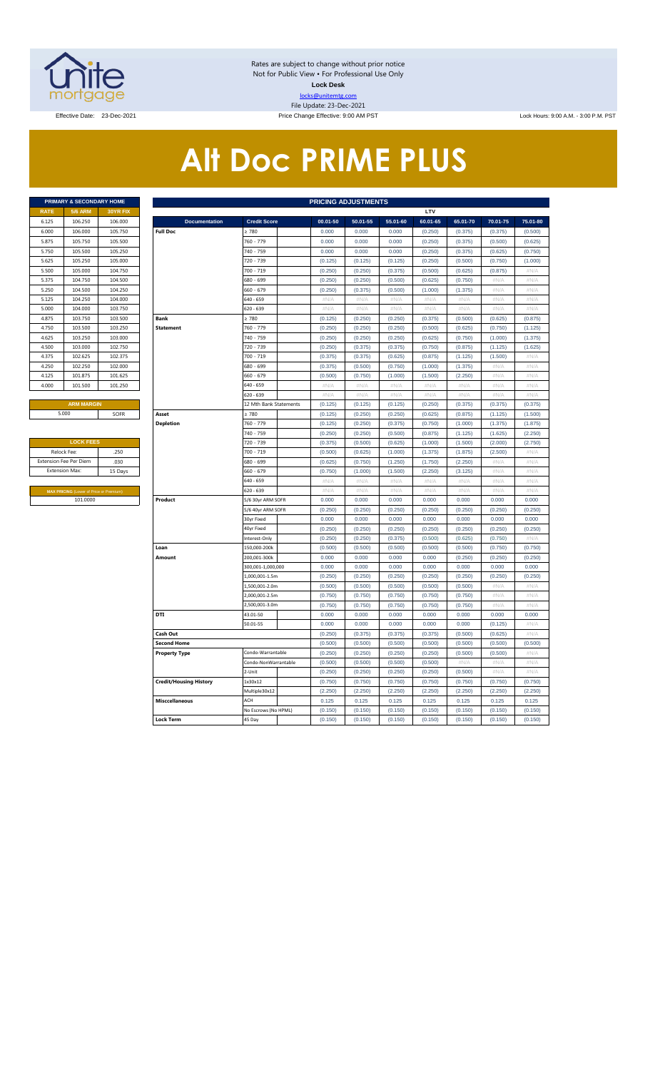

Rates are subject to change without prior notice Not for Public View • For Professional Use Only **Lock Desk** locks@unitemtg.com File Update: 23-Dec-2021

Effective Date: 23-Dec-2021 **Price Change Effective: 9:00 AM PST** Lock Hours: 9:00 A.M. - 3:00 P.M. PST

# **Alt Doc PRIME PLUS**

|             | <b>PRIMARY &amp; SECONDARY HOME</b> |                 |
|-------------|-------------------------------------|-----------------|
| <b>RATE</b> | <b>5/6 ARM</b>                      | <b>30YR FIX</b> |
| 6.125       | 106.250                             | 106,000         |
| 6.000       | 106,000                             | 105.750         |
| 5.875       | 105.750                             | 105.500         |
| 5.750       | 105.500                             | 105.250         |
| 5.625       | 105.250                             | 105.000         |
| 5.500       | 105.000                             | 104.750         |
| 5.375       | 104.750                             | 104.500         |
| 5.250       | 104.500                             | 104.250         |
| 5.125       | 104.250                             | 104.000         |
| 5.000       | 104.000                             | 103.750         |
| 4.875       | 103.750                             | 103.500         |
| 4.750       | 103.500                             | 103.250         |
| 4.625       | 103.250                             | 103,000         |
| 4.500       | 103,000                             | 102.750         |
| 4.375       | 102.625                             | 102.375         |
| 4.250       | 102.250                             | 102.000         |
| 4.125       | 101.875                             | 101.625         |
| 4.000       | 101.500                             | 101.250         |
|             |                                     |                 |

| <b>LOCK FEES</b>                               |         |
|------------------------------------------------|---------|
| Relock Fee:                                    | .250    |
| <b>Extension Fee Per Diem</b>                  | .030    |
| <b>Extension Max:</b>                          | 15 Days |
|                                                |         |
| <b>MAX PRICING (Lower of Price or Premium)</b> |         |
| 101.0000                                       |         |

|             | PRIMARY & SECONDARY HOME                |          |                               |                        | <b>PRICING ADJUSTMENTS</b> |          |          |          |          |                           |             |
|-------------|-----------------------------------------|----------|-------------------------------|------------------------|----------------------------|----------|----------|----------|----------|---------------------------|-------------|
| <b>RATE</b> | <b>5/6 ARM</b>                          | 30YR FIX |                               |                        |                            |          |          | LTV      |          |                           |             |
| 6.125       | 106.250                                 | 106.000  | <b>Documentation</b>          | <b>Credit Score</b>    | 00.01-50                   | 50.01-55 | 55.01-60 | 60.01-65 | 65.01-70 | 70.01-75                  | 75.01-80    |
| 6.000       | 106,000                                 | 105.750  | <b>Full Doc</b>               | > 780                  | 0.000                      | 0.000    | 0.000    | (0.250)  | (0.375)  | (0.375)                   | (0.500)     |
| 5.875       | 105.750                                 | 105.500  |                               | 760 - 779              | 0.000                      | 0.000    | 0.000    | (0.250)  | (0.375)  | (0.500)                   | (0.625)     |
| 5.750       | 105.500                                 | 105.250  |                               | 740 - 759              | 0.000                      | 0.000    | 0.000    | (0.250)  | (0.375)  | (0.625)                   | (0.750)     |
| 5.625       | 105.250                                 | 105.000  |                               | 720 - 739              | (0.125)                    | (0.125)  | (0.125)  | (0.250)  | (0.500)  | (0.750)                   | (1.000)     |
| 5.500       | 105.000                                 | 104.750  |                               | 700 - 719              | (0.250)                    | (0.250)  | (0.375)  | (0.500)  | (0.625)  | (0.875)                   | #N/A        |
| 5.375       | 104.750                                 | 104.500  |                               | 680 - 699              | (0.250)                    | (0.250)  | (0.500)  | (0.625)  | (0.750)  | #N/A                      | #N/A        |
| 5.250       | 104.500                                 | 104.250  |                               | 660 - 679              | (0.250)                    | (0.375)  | (0.500)  | (1.000)  | (1.375)  | # $N/A$                   | $\#N/A$     |
| 5.125       | 104.250                                 | 104.000  |                               | 640 - 659              | $\#N/A$                    | $\#N/A$  | $\#N/A$  | #N/A     | $\#N/A$  | #N/A                      | $\#N/\beta$ |
| 5.000       | 104.000                                 | 103.750  |                               | 620 - 639              | # $N/A$                    | #N/A     | #N/A     | # $N/A$  | #N/A     | # $N/A$                   | #N/A        |
| 4.875       | 103.750                                 | 103.500  | <b>Bank</b>                   | $\geq 780$             | (0.125)                    | (0.250)  | (0.250)  | (0.375)  | (0.500)  | (0.625)                   | (0.875)     |
| 4.750       | 103.500                                 | 103.250  | <b>Statement</b>              | 760 - 779              | (0.250)                    | (0.250)  | (0.250)  | (0.500)  | (0.625)  | (0.750)                   | (1.125)     |
| 4.625       | 103.250                                 | 103.000  |                               | 740 - 759              | (0.250)                    | (0.250)  | (0.250)  | (0.625)  | (0.750)  | (1.000)                   | (1.375)     |
| 4.500       | 103.000                                 | 102.750  |                               | 720 - 739              | (0.250)                    | (0.375)  | (0.375)  | (0.750)  | (0.875)  | (1.125)                   | (1.625)     |
| 4.375       | 102.625                                 | 102.375  |                               | 700 - 719              | (0.375)                    | (0.375)  | (0.625)  | (0.875)  | (1.125)  | (1.500)                   | #N/A        |
| 4.250       | 102.250                                 | 102.000  |                               | 680 - 699              | (0.375)                    | (0.500)  | (0.750)  | (1.000)  | (1.375)  | $\#\mathsf{N}/\mathsf{A}$ | #N/A        |
| 4.125       | 101.875                                 | 101.625  |                               | 660 - 679              | (0.500)                    | (0.750)  | (1.000)  | (1.500)  | (2.250)  | #N/A                      | #N/A        |
| 4.000       | 101.500                                 | 101.250  |                               | 640 - 659              | #N/A                       | #N/A     | #N/A     | #N/A     | $\#N/A$  | #N/A                      | #N/A        |
|             |                                         |          |                               | 620 - 639              | #N/A                       | #N/A     | #N/A     | #N/A     | #N/A     | #N/A                      | #N/A        |
|             | <b>ARM MARGIN</b>                       |          |                               | 12 Mth Bank Statements | (0.125)                    | (0.125)  | (0.125)  | (0.250)  | (0.375)  | (0.375)                   | (0.375)     |
|             | 5.000                                   | SOFR     | Asset                         | $\geq 780$             | (0.125)                    | (0.250)  | (0.250)  | (0.625)  | (0.875)  | (1.125)                   | (1.500)     |
|             |                                         |          | <b>Depletion</b>              | 760 - 779              | (0.125)                    | (0.250)  | (0.375)  | (0.750)  | (1.000)  | (1.375)                   | (1.875)     |
|             |                                         |          |                               | 740 - 759              | (0.250)                    | (0.250)  | (0.500)  | (0.875)  | (1.125)  | (1.625)                   | (2.250)     |
|             | <b>LOCK FEES</b>                        |          |                               | 720 - 739              | (0.375)                    | (0.500)  | (0.625)  | (1.000)  | (1.500)  | (2.000)                   | (2.750)     |
|             | Relock Fee:                             | .250     |                               | 700 - 719              | (0.500)                    | (0.625)  | (1.000)  | (1.375)  | (1.875)  | (2.500)                   | #N/A        |
|             | xtension Fee Per Diem                   | .030     |                               | 680 - 699              | (0.625)                    | (0.750)  | (1.250)  | (1.750)  | (2.250)  | $\#\mathbb{N}/\!/$        | #N/A        |
|             | Extension Max:                          | 15 Days  |                               | 660 - 679              | (0.750)                    | (1.000)  | (1.500)  | (2.250)  | (3.125)  | #N/A                      | #N/A        |
|             |                                         |          |                               | 640 - 659              | #N/A                       | #N/A     | #N/A     | #N/A     | #N/A     | #N/A                      | $\#N/A$     |
|             | MAX PRICING (Lower of Price or Premium) |          |                               | 620 - 639              | #N/A                       | #N/A     | #N/A     | #N/A     | #N/A     | #N/A                      | #N/A        |
|             | 101.0000                                |          | Product                       | 5/6 30yr ARM SOFR      | 0.000                      | 0.000    | 0.000    | 0.000    | 0.000    | 0.000                     | 0.000       |
|             |                                         |          |                               | 5/6 40yr ARM SOFR      | (0.250)                    | (0.250)  | (0.250)  | (0.250)  | (0.250)  | (0.250)                   | (0.250)     |
|             |                                         |          |                               | 30yr Fixed             | 0.000                      | 0.000    | 0.000    | 0.000    | 0.000    | 0.000                     | 0.000       |
|             |                                         |          |                               | 40yr Fixed             | (0.250)                    | (0.250)  | (0.250)  | (0.250)  | (0.250)  | (0.250)                   | (0.250)     |
|             |                                         |          |                               | Interest-Only          | (0.250)                    | (0.250)  | (0.375)  | (0.500)  | (0.625)  | (0.750)                   | #N/A        |
|             |                                         |          | Loan                          | 150,000-200k           | (0.500)                    | (0.500)  | (0.500)  | (0.500)  | (0.500)  | (0.750)                   | (0.750)     |
|             |                                         |          | Amount                        | 200.001-300k           | 0.000                      | 0.000    | 0.000    | 0.000    | (0.250)  | (0.250)                   | (0.250)     |
|             |                                         |          |                               | 300,001-1,000,000      | 0.000                      | 0.000    | 0.000    | 0.000    | 0.000    | 0.000                     | 0.000       |
|             |                                         |          |                               | 1.000.001-1.5m         | (0.250)                    | (0.250)  | (0.250)  | (0.250)  | (0.250)  | (0.250)                   | (0.250)     |
|             |                                         |          |                               | 1,500,001-2.0m         | (0.500)                    | (0.500)  | (0.500)  | (0.500)  | (0.500)  | #N/A                      | #N/A        |
|             |                                         |          |                               | 2,000,001-2.5m         | (0.750)                    | (0.750)  | (0.750)  | (0.750)  | (0.750)  | $\#N/A$                   | #N/A        |
|             |                                         |          |                               | .,500,001-3.0m         | (0.750)                    | (0.750)  | (0.750)  | (0.750)  | (0.750)  | #N/A                      | $\#N/\beta$ |
|             |                                         |          | DTI                           | 43.01-50               | 0.000                      | 0.000    | 0.000    | 0.000    | 0.000    | 0.000                     | 0.000       |
|             |                                         |          |                               | 50.01-55               | 0.000                      | 0.000    | 0.000    | 0.000    | 0.000    | (0.125)                   | $\#N/A$     |
|             |                                         |          | Cash Out                      |                        | (0.250)                    | (0.375)  | (0.375)  | (0.375)  | (0.500)  | (0.625)                   | #N/A        |
|             |                                         |          | <b>Second Home</b>            |                        | (0.500)                    | (0.500)  | (0.500)  | (0.500)  | (0.500)  | (0.500)                   | (0.500)     |
|             |                                         |          | <b>Property Type</b>          | Condo-Warrantable      | (0.250)                    | (0.250)  | (0.250)  | (0.250)  | (0.500)  | (0.500)                   | $\#N/A$     |
|             |                                         |          |                               | Condo-NonWarrantable   | (0.500)                    | (0.500)  | (0.500)  | (0.500)  | #N/A     | #N/A                      | #N/A        |
|             |                                         |          |                               | 2-Unit                 | (0.250)                    | (0.250)  | (0.250)  | (0.250)  | (0.500)  | $\#N/A$                   | #N/A        |
|             |                                         |          | <b>Credit/Housing History</b> | 1x30x12                | (0.750)                    | (0.750)  | (0.750)  | (0.750)  | (0.750)  | (0.750)                   | (0.750)     |
|             |                                         |          |                               | Multiple30x12          | (2.250)                    | (2.250)  | (2.250)  | (2.250)  | (2.250)  | (2.250)                   | (2.250)     |
|             |                                         |          | <b>Misccellaneous</b>         | ACH                    | 0.125                      | 0.125    | 0.125    | 0.125    | 0.125    | 0.125                     | 0.125       |
|             |                                         |          |                               | No Escrows (No HPML)   | (0.150)                    | (0.150)  | (0.150)  | (0.150)  | (0.150)  | (0.150)                   | (0.150)     |
|             |                                         |          | <b>Lock Term</b>              | 45 Day                 | (0.150)                    | (0.150)  | (0.150)  | (0.150)  | (0.150)  | (0.150)                   | (0.150)     |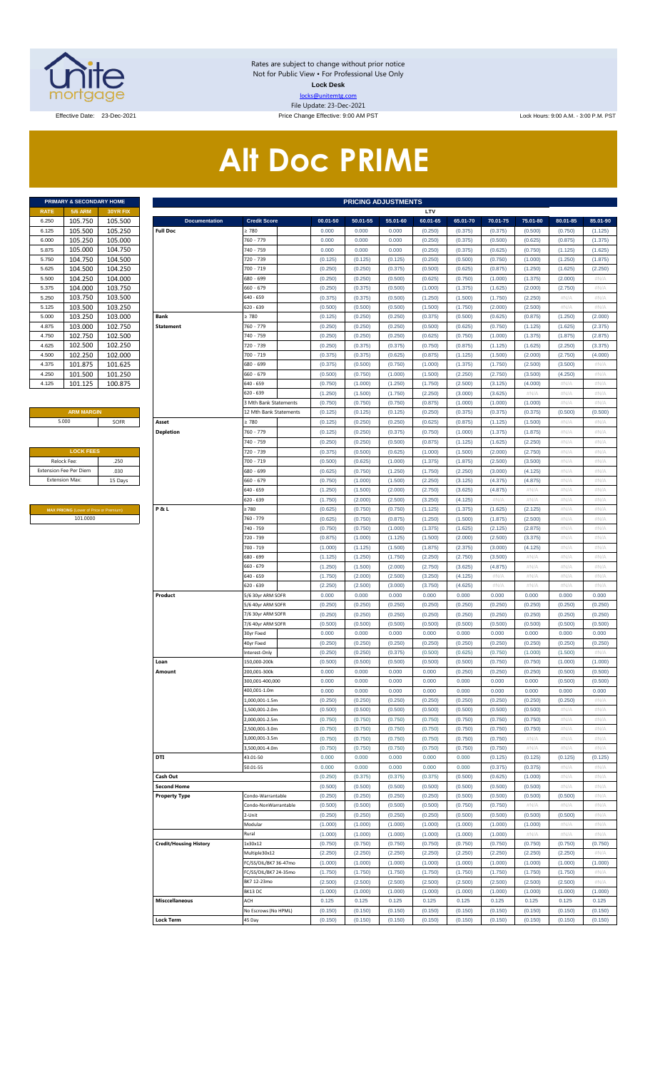

Rates are subject to change without prior notice Not for Public View • For Professional Use Only **Lock Desk** locks@unitemtg.com File Update: 23-Dec-2021

Effective Date: 23-Dec-2021 **Price Change Effective: 9:00 AM PST** Lock Hours: 9:00 A.M. - 3:00 P.M. PST

# **Alt Doc PRIME**

|             | <b>PRIMARY &amp; SECONDARY HOME</b> |                 |
|-------------|-------------------------------------|-----------------|
| <b>RATE</b> | <b>5/6 ARM</b>                      | <b>30YR FIX</b> |
| 6.250       | 105.750                             | 105.500         |
| 6.125       | 105.500                             | 105.250         |
| 6.000       | 105.250                             | 105.000         |
| 5.875       | 105.000                             | 104.750         |
| 5.750       | 104.750                             | 104.500         |
| 5.625       | 104.500                             | 104.250         |
| 5.500       | 104.250                             | 104.000         |
| 5.375       | 104.000                             | 103.750         |
| 5.250       | 103.750                             | 103.500         |
| 5.125       | 103.500                             | 103.250         |
| 5.000       | 103.250                             | 103.000         |
| 4.875       | 103.000                             | 102.750         |
| 4.750       | 102.750                             | 102.500         |
| 4.625       | 102.500                             | 102.250         |
| 4.500       | 102.250                             | 102.000         |
| 4.375       | 101.875                             | 101.625         |
| 4.250       | 101.500                             | 101.250         |
| 4.125       | 101.125                             | 100.875         |

#### **ARM MARGIN** 5.000

| <b>LOCK FEES</b>              |         |
|-------------------------------|---------|
| Relock Fee:                   | .250    |
| <b>Extension Fee Per Diem</b> | .030    |
| <b>Extension Max:</b>         | 15 Days |
|                               |         |

**MAX PRICING** (Lower of Price or Premium) 101.0000

|                | PRIMARY & SECONDARY HOME                |                    |                               |                                           |                    | <b>PRICING ADJUSTMENTS</b> |                    |                    |                    |                    |                    |                    |                    |
|----------------|-----------------------------------------|--------------------|-------------------------------|-------------------------------------------|--------------------|----------------------------|--------------------|--------------------|--------------------|--------------------|--------------------|--------------------|--------------------|
| RATE           | <b>5/6 ARM</b>                          | 30YR FIX           |                               |                                           |                    |                            |                    | LTV                |                    |                    |                    |                    |                    |
| 6.250          | 105.750                                 | 105.500            | <b>Documentation</b>          | <b>Credit Score</b>                       | 00.01-50           | 50.01-55                   | 55.01-60           | 60.01-65           | 65.01-70           | 70.01-75           | 75.01-80           | 80.01-85           | 85.01-90           |
| 6.125          | 105.500                                 | 105.250            | <b>Full Doc</b>               | 2780                                      | 0.000              | 0.000                      | 0.000              | (0.250)            | (0.375)            | (0.375)            | (0.500)            | (0.750)            | (1.125)            |
| 6.000<br>5.875 | 105.250<br>105.000                      | 105.000<br>104.750 |                               | 760 - 779<br>740 - 759                    | 0.000<br>0.000     | 0.000<br>0.000             | 0.000<br>0.000     | (0.250)<br>(0.250) | (0.375)<br>(0.375) | (0.500)<br>(0.625) | (0.625)<br>(0.750) | (0.875)<br>(1.125) | (1.375)            |
| 5.750          | 104.750                                 | 104.500            |                               | 720 - 739                                 | (0.125)            | (0.125)                    | (0.125)            | (0.250)            | (0.500)            | (0.750)            | (1.000)            | (1.250)            | (1.625)<br>(1.875) |
| 5.625          | 104.500                                 | 104.250            |                               | 700 - 719                                 | (0.250)            | (0.250)                    | (0.375)            | (0.500)            | (0.625)            | (0.875)            | (1.250)            | (1.625)            | (2.250)            |
| 5.500          | 104.250                                 | 104.000            |                               | 680 - 699                                 | (0.250)            | (0.250)                    | (0.500)            | (0.625)            | (0.750)            | (1.000)            | (1.375)            | (2.000)            | #N/A               |
| 5.375          | 104.000                                 | 103.750            |                               | 660 - 679                                 | (0.250)            | (0.375)                    | (0.500)            | (1.000)            | (1.375)            | (1.625)            | (2.000)            | (2.750)            | #N/A               |
| 5.250          | 103.750                                 | 103.500            |                               | $640 - 659$                               | (0.375)            | (0.375)                    | (0.500)            | (1.250)            | (1.500)            | (1.750)            | (2.250)            | #N/A               | #N/A               |
| 5.125          | 103.500                                 | 103.250            |                               | $620 - 639$                               | (0.500)            | (0.500)                    | (0.500)            | (1.500)            | (1.750)            | (2.000)            | (2.500)            | #N/A               | #N/A               |
| 5.000          | 103.250                                 | 103.000            | <b>Bank</b>                   | 2780                                      | (0.125)            | (0.250)                    | (0.250)            | (0.375)            | (0.500)            | (0.625)            | (0.875)            | (1.250)            | (2.000)            |
| 4.875          | 103.000                                 | 102.750            | <b>Statement</b>              | 760 - 779                                 | (0.250)            | (0.250)                    | (0.250)            | (0.500)            | (0.625)            | (0.750)            | (1.125)            | (1.625)            | (2.375)            |
| 4.750          | 102.750                                 | 102.500            |                               | 740 - 759                                 | (0.250)            | (0.250)                    | (0.250)            | (0.625)            | (0.750)            | (1.000)            | (1.375)            | (1.875)            | (2.875)            |
| 4.625<br>4.500 | 102.500<br>102.250                      | 102.250            |                               | 720 - 739<br>700 - 719                    | (0.250)            | (0.375)                    | (0.375)<br>(0.625) | (0.750)<br>(0.875) | (0.875)            | (1.125)<br>(1.500) | (1.625)<br>(2.000) | (2.250)<br>(2.750) | (3.375)<br>(4.000) |
| 4.375          | 101.875                                 | 102.000<br>101.625 |                               | 680 - 699                                 | (0.375)<br>(0.375) | (0.375)<br>(0.500)         | (0.750)            | (1.000)            | (1.125)<br>(1.375) | (1.750)            | (2.500)            | (3.500)            | #N/A               |
| 4.250          | 101.500                                 | 101.250            |                               | 660 - 679                                 | (0.500)            | (0.750)                    | (1.000)            | (1.500)            | (2.250)            | (2.750)            | (3.500)            | (4.250)            | #N/A               |
| 4.125          | 101.125                                 | 100.875            |                               | 640 - 659                                 | (0.750)            | (1.000)                    | (1.250)            | (1.750)            | (2.500)            | (3.125)            | (4.000)            | #N/A               | #N/A               |
|                |                                         |                    |                               | $620 - 639$                               | (1.250)            | (1.500)                    | (1.750)            | (2.250)            | (3.000)            | (3.625)            | #N/A               | #N/A               | #N/A               |
|                |                                         |                    |                               | 3 Mth Bank Statements                     | (0.750)            | (0.750)                    | (0.750)            | (0.875)            | (1.000)            | (1.000)            | (1.000)            | #N/A               | #N/A               |
|                | <b>ARM MARGIN</b>                       |                    |                               | 12 Mth Bank Statements                    | (0.125)            | (0.125)                    | (0.125)            | (0.250)            | (0.375)            | (0.375)            | (0.375)            | (0.500)            | (0.500)            |
|                | 5.000                                   | SOFR               | Asset                         | 2780                                      | (0.125)            | (0.250)                    | (0.250)            | (0.625)            | (0.875)            | (1.125)            | (1.500)            | #N/A               | #N/A               |
|                |                                         |                    | <b>Depletion</b>              | 760 - 779                                 | (0.125)            | (0.250)                    | (0.375)            | (0.750)            | (1.000)            | (1.375)            | (1.875)            | #N/A               | #N/A               |
|                |                                         |                    |                               | 740 - 759                                 | (0.250)            | (0.250)                    | (0.500)            | (0.875)            | (1.125)            | (1.625)            | (2.250)            | #N/A               | #N/A               |
|                | <b>LOCK FEES</b>                        |                    |                               | 720 - 739                                 | (0.375)            | (0.500)                    | (0.625)            | (1.000)            | (1.500)            | (2.000)            | (2.750)            | #N/A               | #N/A               |
| Relock Fee:    |                                         | .250               |                               | 700 - 719                                 | (0.500)            | (0.625)                    | (1.000)            | (1.375)            | (1.875)            | (2.500)            | (3.500)            | #N/A               | #N/A               |
|                | xtension Fee Per Diem                   | .030               |                               | 680 - 699                                 | (0.625)            | (0.750)                    | (1.250)            | (1.750)            | (2.250)            | (3.000)            | (4.125)            | #N/A               | #N/A               |
|                | <b>Extension Max:</b>                   | 15 Days            |                               | $660 - 679$<br>640 - 659                  | (0.750)<br>(1.250) | (1.000)<br>(1.500)         | (1.500)<br>(2.000) | (2.250)<br>(2.750) | (3.125)<br>(3.625) | (4.375)<br>(4.875) | (4.875)<br>#N/A    | #N/A<br>#N/A       | #N/A<br>#N/A       |
|                |                                         |                    |                               | $620 - 639$                               | (1.750)            | (2.000)                    | (2.500)            | (3.250)            | (4.125)            | #N/A               | #N/A               | #N/A               | #N/A               |
|                | MAX PRICING (Lower of Price or Premium) |                    | <b>P&amp;L</b>                | 2780                                      | (0.625)            | (0.750)                    | (0.750)            | (1.125)            | (1.375)            | (1.625)            | (2.125)            | #N/A               | #N/A               |
|                | 101.0000                                |                    |                               | 760 - 779                                 | (0.625)            | (0.750)                    | (0.875)            | (1.250)            | (1.500)            | (1.875)            | (2.500)            | #N/A               | #N/A               |
|                |                                         |                    |                               | 740 - 759                                 | (0.750)            | (0.750)                    | (1.000)            | (1.375)            | (1.625)            | (2.125)            | (2.875)            | #N/A               | #N/A               |
|                |                                         |                    |                               | 720 - 739                                 | (0.875)            | (1.000)                    | (1.125)            | (1.500)            | (2.000)            | (2.500)            | (3.375)            | #N/A               | #N/A               |
|                |                                         |                    |                               | 700 - 719                                 | (1.000)            | (1.125)                    | (1.500)            | (1.875)            | (2.375)            | (3.000)            | (4.125)            | #N/A               | #N/A               |
|                |                                         |                    |                               | 680 - 699                                 | (1.125)            | (1.250)                    | (1.750)            | (2.250)            | (2.750)            | (3.500)            | #N/A               | #N/A               | #N/A               |
|                |                                         |                    |                               | $660 - 679$                               | (1.250)            | (1.500)                    | (2.000)            | (2.750)            | (3.625)            | (4.875)            | #N/A               | #N/A               | #N/A               |
|                |                                         |                    |                               | $640 - 659$                               | (1.750)            | (2.000)                    | (2.500)            | (3.250)            | (4.125)            | #N/A               | #N/A               | #N/A               | #N/A               |
|                |                                         |                    |                               | $620 - 639$                               | (2.250)            | (2.500)                    | (3.000)            | (3.750)            | (4.625)            | #N/A               | #N/A               | #N/A               | #N/A               |
|                |                                         |                    | Product                       | 5/6 30yr ARM SOFR                         | 0.000<br>(0.250)   | 0.000<br>(0.250)           | 0.000<br>(0.250)   | 0.000<br>(0.250)   | 0.000<br>(0.250)   | 0.000<br>(0.250)   | 0.000<br>(0.250)   | 0.000<br>(0.250)   | 0.000<br>(0.250)   |
|                |                                         |                    |                               | 5/6 40yr ARM SOFR<br>7/6 30yr ARM SOFR    | (0.250)            | (0.250)                    | (0.250)            | (0.250)            | (0.250)            | (0.250)            | (0.250)            | (0.250)            | (0.250)            |
|                |                                         |                    |                               | 7/6 40yr ARM SOFR                         | (0.500)            | (0.500)                    | (0.500)            | (0.500)            | (0.500)            | (0.500)            | (0.500)            | (0.500)            | (0.500)            |
|                |                                         |                    |                               | 30yr Fixed                                | 0.000              | 0.000                      | 0.000              | 0.000              | 0.000              | 0.000              | 0.000              | 0.000              | 0.000              |
|                |                                         |                    |                               | 40yr Fixed                                | (0.250)            | (0.250)                    | (0.250)            | (0.250)            | (0.250)            | (0.250)            | (0.250)            | (0.250)            | (0.250)            |
|                |                                         |                    |                               | Interest-Only                             | (0.250)            | (0.250)                    | (0.375)            | (0.500)            | (0.625)            | (0.750)            | (1.000)            | (1.500)            | #N/A               |
|                |                                         |                    | Loan                          | 150.000-200k                              | (0.500)            | (0.500)                    | (0.500)            | (0.500)            | (0.500)            | (0.750)            | (0.750)            | (1.000)            | (1.000)            |
|                |                                         |                    | Amount                        | 200,001-300k                              | 0.000              | 0.000                      | 0.000              | 0.000              | (0.250)            | (0.250)            | (0.250)            | (0.500)            | (0.500)            |
|                |                                         |                    |                               | 300,001-400,000                           | 0.000              | 0.000                      | 0.000              | 0.000              | 0.000              | 0.000              | 0.000              | (0.500)            | (0.500)            |
|                |                                         |                    |                               | 400,001-1.0m                              | 0.000              | 0.000                      | 0.000              | 0.000              | 0.000              | 0.000              | 0.000              | 0.000              | 0.000              |
|                |                                         |                    |                               | $.000.001 - 1.5m$<br>.500.001-2.0m        | (0.250)<br>(0.500) | (0.250)<br>(0.500)         | (0.250)<br>(0.500) | (0.250)<br>(0.500) | (0.250)<br>(0.500) | (0.250)<br>(0.500) | (0.250)<br>(0.500) | (0.250)<br>#N/A    | #N/A<br>#N/A       |
|                |                                         |                    |                               | 2.000.001-2.5m                            | (0.750)            | (0.750)                    | (0.750)            | (0.750)            | (0.750)            | (0.750)            | (0.750)            | #N/A               | #N/A               |
|                |                                         |                    |                               | 2.500.001-3.0m                            | (0.750)            | (0.750)                    | (0.750)            | (0.750)            | (0.750)            | (0.750)            | (0.750)            | #N/A               | #N/A               |
|                |                                         |                    |                               | 000.001-3.5m                              | (0.750)            | (0.750)                    | (0.750)            | (0.750)            | (0.750)            | (0.750)            | #N/A               | #N/A               | #N/A               |
|                |                                         |                    |                               | 500,001-4.0m                              | (0.750)            | (0.750)                    | (0.750)            | (0.750)            | (0.750)            | (0.750)            | #N/A               | $\#N/A$            | #N/A               |
|                |                                         |                    | DTI                           | 43.01-50                                  | 0.000              | 0.000                      | 0.000              | 0.000              | 0.000              | (0.125)            | (0.125)            | (0.125)            | (0.125)            |
|                |                                         |                    |                               | 50.01-55                                  | 0.000              | 0.000                      | 0.000              | 0.000              | 0.000              | (0.375)            | (0.375)            | #N/A               | #N/A               |
|                |                                         |                    | Cash Out                      |                                           | (0.250)            | (0.375)                    | (0.375)            | (0.375)            | (0.500)            | (0.625)            | (1.000)            | #N/A               | #N/A               |
|                |                                         |                    | <b>Second Home</b>            |                                           | (0.500)            | (0.500)                    | (0.500)            | (0.500)            | (0.500)            | (0.500)            | (0.500)            | #N/A               | #N/A               |
|                |                                         |                    | <b>Property Type</b>          | Condo-Warrantable<br>Condo-NonWarrantable | (0.250)            | (0.250)                    | (0.250)            | (0.250)            | (0.500)            | (0.500)            | (0.500)            | (0.500)            | #N/A               |
|                |                                         |                    |                               | 2-Unit                                    | (0.500)<br>(0.250) | (0.500)<br>(0.250)         | (0.500)<br>(0.250) | (0.500)<br>(0.250) | (0.750)<br>(0.500) | (0.750)<br>(0.500) | #N/A<br>(0.500)    | #N/A<br>(0.500)    | #N/A<br>#N/A       |
|                |                                         |                    |                               | Modular                                   | (1.000)            | (1.000)                    | (1.000)            | (1.000)            | (1.000)            | (1.000)            | (1.000)            | #N/A               | #N/A               |
|                |                                         |                    |                               | Rural                                     | (1.000)            | (1.000)                    | (1.000)            | (1.000)            | (1.000)            | (1.000)            | #N/A               | #N/A               | #N/A               |
|                |                                         |                    | <b>Credit/Housing History</b> | 1x30x12                                   | (0.750)            | (0.750)                    | (0.750)            | (0.750)            | (0.750)            | (0.750)            | (0.750)            | (0.750)            | (0.750)            |
|                |                                         |                    |                               | Multiple30x12                             | (2.250)            | (2.250)                    | (2.250)            | (2.250)            | (2.250)            | (2.250)            | (2.250)            | (2.250)            | #N/A               |
|                |                                         |                    |                               | FC/SS/DIL/BK7 36-47mo                     | (1.000)            | (1.000)                    | (1.000)            | (1.000)            | (1.000)            | (1.000)            | (1.000)            | (1.000)            | (1.000)            |
|                |                                         |                    |                               | C/SS/DIL/BK7 24-35mo                      | (1.750)            | (1.750)                    | (1.750)            | (1.750)            | (1.750)            | (1.750)            | (1.750)            | (1.750)            | #N/A               |
|                |                                         |                    |                               | BK7 12-23mo                               | (2.500)            | (2.500)                    | (2.500)            | (2.500)            | (2.500)            | (2.500)            | (2.500)            | (2.500)            | #N/A               |
|                |                                         |                    |                               | BK13 DC                                   | (1.000)            | (1.000)                    | (1.000)            | (1.000)            | (1.000)            | (1.000)            | (1.000)            | (1.000)            | (1.000)            |
|                |                                         |                    | <b>Misccellaneous</b>         | ACH                                       | 0.125              | 0.125                      | 0.125              | 0.125              | 0.125              | 0.125              | 0.125              | 0.125              | 0.125              |
|                |                                         |                    |                               | No Escrows (No HPML)                      | (0.150)            | (0.150)                    | (0.150)            | (0.150)            | (0.150)            | (0.150)            | (0.150)            | (0.150)            | (0.150)            |
|                |                                         |                    | <b>Lock Term</b>              | 45 Day                                    | (0.150)            | (0.150)                    | (0.150)            | (0.150)            | (0.150)            | (0.150)            | (0.150)            | (0.150)            | (0.150)            |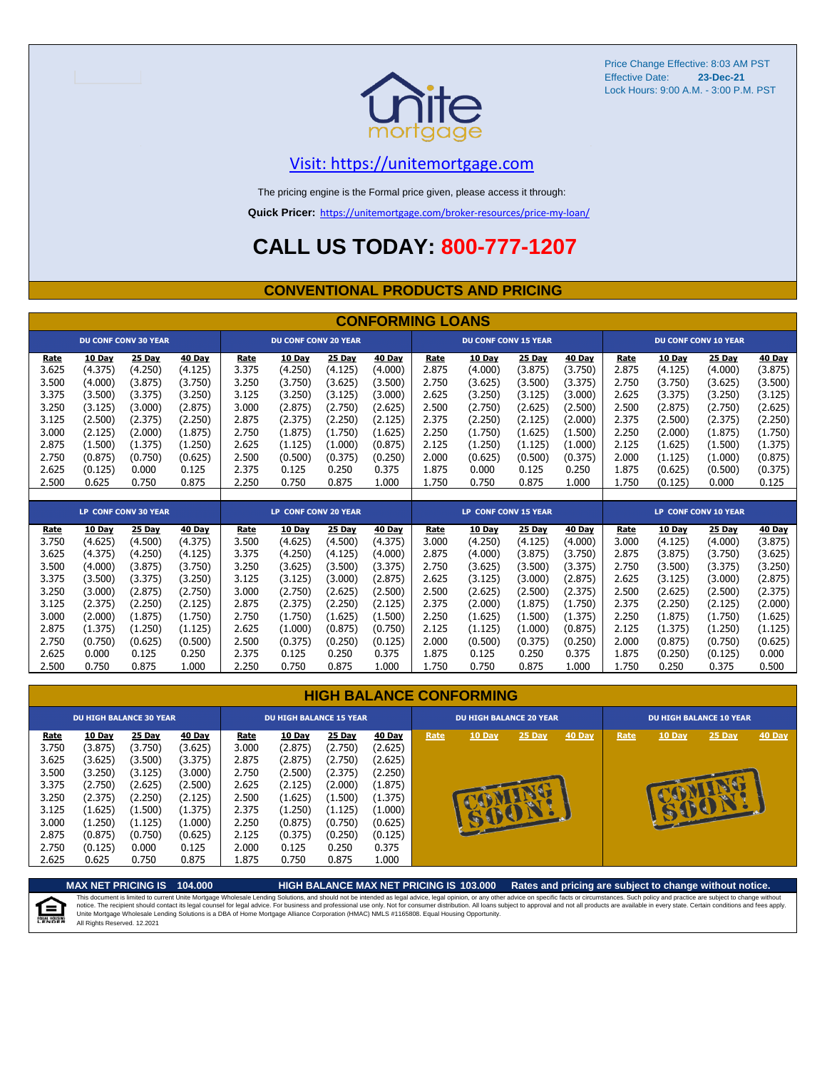

#### [V](https://unitemortgage.com/)isit: https://unitemortgage.com

The pricing engine is the Formal price given, please access it through:

**Quick Pricer:** [https://un](https://unitemortgage.com/broker-resources/price-my-loan/)itemortgage.com/broker-resources/price-my-loan/

### **CALL US TODAY: 800-777-1207**

#### **CONVENTIONAL PRODUCTS AND PRICING**

|       | <b>CONFORMING LOANS</b> |                             |         |       |                             |               |               |       |                             |               |               |                             |               |                             |               |
|-------|-------------------------|-----------------------------|---------|-------|-----------------------------|---------------|---------------|-------|-----------------------------|---------------|---------------|-----------------------------|---------------|-----------------------------|---------------|
|       |                         | <b>DU CONF CONV 30 YEAR</b> |         |       | <b>DU CONF CONV 20 YEAR</b> |               |               |       | <b>DU CONF CONV 15 YEAR</b> |               |               |                             |               | <b>DU CONF CONV 10 YEAR</b> |               |
| Rate  | 10 Day                  | 25 Day                      | 40 Day  | Rate  | 10 Day                      | 25 Day        | 40 Day        | Rate  | 10 Day                      | 25 Day        | 40 Day        | Rate                        | <b>10 Day</b> | 25 Day                      | <b>40 Day</b> |
| 3.625 | (4.375)                 | (4.250)                     | (4.125) | 3.375 | (4.250)                     | (4.125)       | (4.000)       | 2.875 | (4.000)                     | (3.875)       | (3.750)       | 2.875                       | (4.125)       | (4.000)                     | (3.875)       |
| 3.500 | (4.000)                 | (3.875)                     | (3.750) | 3.250 | (3.750)                     | (3.625)       | (3.500)       | 2.750 | (3.625)                     | (3.500)       | (3.375)       | 2.750                       | (3.750)       | (3.625)                     | (3.500)       |
| 3.375 | (3.500)                 | (3.375)                     | (3.250) | 3.125 | (3.250)                     | (3.125)       | (3.000)       | 2.625 | (3.250)                     | (3.125)       | (3.000)       | 2.625                       | (3.375)       | (3.250)                     | (3.125)       |
| 3.250 | (3.125)                 | (3.000)                     | (2.875) | 3.000 | (2.875)                     | (2.750)       | (2.625)       | 2.500 | (2.750)                     | (2.625)       | (2.500)       | 2.500                       | (2.875)       | (2.750)                     | (2.625)       |
| 3.125 | (2.500)                 | (2.375)                     | (2.250) | 2.875 | (2.375)                     | (2.250)       | (2.125)       | 2.375 | (2.250)                     | (2.125)       | (2.000)       | 2.375                       | (2.500)       | (2.375)                     | (2.250)       |
| 3.000 | (2.125)                 | (2.000)                     | (1.875) | 2.750 | (1.875)                     | (1.750)       | (1.625)       | 2.250 | (1.750)                     | (1.625)       | (1.500)       | 2.250                       | (2.000)       | (1.875)                     | (1.750)       |
| 2.875 | (1.500)                 | (1.375)                     | (1.250) | 2.625 | (1.125)                     | (1.000)       | (0.875)       | 2.125 | (1.250)                     | (1.125)       | (1.000)       | 2.125                       | (1.625)       | (1.500)                     | (1.375)       |
| 2.750 | (0.875)                 | (0.750)                     | (0.625) | 2.500 | (0.500)                     | (0.375)       | (0.250)       | 2.000 | (0.625)                     | (0.500)       | (0.375)       | 2.000                       | (1.125)       | (1.000)                     | (0.875)       |
| 2.625 | (0.125)                 | 0.000                       | 0.125   | 2.375 | 0.125                       | 0.250         | 0.375         | 1.875 | 0.000                       | 0.125         | 0.250         | 1.875                       | (0.625)       | (0.500)                     | (0.375)       |
| 2.500 | 0.625                   | 0.750                       | 0.875   | 2.250 | 0.750                       | 0.875         | 1.000         | 1.750 | 0.750                       | 0.875         | 1.000         | 1.750                       | (0.125)       | 0.000                       | 0.125         |
|       |                         |                             |         |       |                             |               |               |       |                             |               |               |                             |               |                             |               |
|       |                         | <b>LP CONF CONV 30 YEAR</b> |         |       | <b>LP CONF CONV 20 YEAR</b> |               |               |       | <b>LP CONF CONV 15 YEAR</b> |               |               | <b>LP CONF CONV 10 YEAR</b> |               |                             |               |
| Rate  | 10 Day                  | <b>25 Day</b>               | 40 Day  | Rate  | 10 Day                      | <b>25 Day</b> | <b>40 Day</b> | Rate  | 10 Day                      | <b>25 Day</b> | <b>40 Day</b> | Rate                        | <b>10 Day</b> | <b>25 Day</b>               | <b>40 Day</b> |
| 3.750 | (4.625)                 | (4.500)                     | (4.375) | 3.500 | (4.625)                     | (4.500)       | (4.375)       | 3.000 | (4.250)                     | (4.125)       | (4.000)       | 3.000                       | (4.125)       | (4.000)                     | (3.875)       |
| 3.625 | (4.375)                 | (4.250)                     | (4.125) | 3.375 | (4.250)                     | (4.125)       | (4.000)       | 2.875 | (4.000)                     | (3.875)       | (3.750)       | 2.875                       | (3.875)       | (3.750)                     | (3.625)       |
| 3.500 | (4.000)                 | (3.875)                     | (3.750) | 3.250 | (3.625)                     | (3.500)       | (3.375)       | 2.750 | (3.625)                     | (3.500)       | (3.375)       | 2.750                       | (3.500)       | (3.375)                     | (3.250)       |
| 3.375 | (3.500)                 | (3.375)                     | (3.250) | 3.125 | (3.125)                     | (3.000)       | (2.875)       | 2.625 | (3.125)                     | (3.000)       | (2.875)       | 2.625                       | (3.125)       | (3.000)                     | (2.875)       |
| 3.250 | (3.000)                 | (2.875)                     | (2.750) | 3.000 | (2.750)                     | (2.625)       | (2.500)       | 2.500 | (2.625)                     | (2.500)       | (2.375)       | 2.500                       | (2.625)       | (2.500)                     | (2.375)       |
| 3.125 | (2.375)                 | (2.250)                     | (2.125) | 2.875 | (2.375)                     | (2.250)       | (2.125)       | 2.375 | (2.000)                     | (1.875)       | (1.750)       | 2.375                       | (2.250)       | (2.125)                     | (2.000)       |
| 3.000 | (2.000)                 | (1.875)                     | (1.750) | 2.750 | (1.750)                     | (1.625)       | (1.500)       | 2.250 | (1.625)                     | (1.500)       | (1.375)       | 2.250                       | (1.875)       | (1.750)                     | (1.625)       |

#### **HIGH BALANCE CONFORMING**

2.875 (1.375) (1.250) (1.125) 2.625 (1.000) (0.875) (0.750) 2.125 (1.125) (1.000) (0.875) 2.125 (1.375) (1.250) (1.125) 2.750 (0.750) (0.625) (0.500) 2.500 (0.375) (0.250) (0.125) 2.000 (0.500) (0.375) (0.250) 2.000 (0.875) (0.750) (0.625) 2.625 0.000 0.125 0.250 2.375 0.125 0.250 0.375 1.875 0.125 0.250 0.375 1.875 (0.250) (0.125) 0.000 2.500 0.750 0.875 1.000 2.250 0.750 0.875 1.000 1.750 0.750 0.875 1.000 1.750 0.250 0.375 0.500

| <b>DU HIGH BALANCE 30 YEAR</b>                                                                 |                                                                                                                    | <b>DU HIGH BALANCE 15 YEAR</b>                                                                                   |                                                                                                                  |                                                                                                |                                                                                                                         |                                                                                                                  | <b>DU HIGH BALANCE 20 YEAR</b>                                                                                          |      |        |             | <b>DU HIGH BALANCE 10 YEAR</b> |      |               |          |               |
|------------------------------------------------------------------------------------------------|--------------------------------------------------------------------------------------------------------------------|------------------------------------------------------------------------------------------------------------------|------------------------------------------------------------------------------------------------------------------|------------------------------------------------------------------------------------------------|-------------------------------------------------------------------------------------------------------------------------|------------------------------------------------------------------------------------------------------------------|-------------------------------------------------------------------------------------------------------------------------|------|--------|-------------|--------------------------------|------|---------------|----------|---------------|
| Rate<br>3.750<br>3.625<br>3.500<br>3.375<br>3.250<br>3.125<br>3.000<br>2.875<br>2.750<br>2.625 | 10 Day<br>(3.875)<br>(3.625)<br>(3.250)<br>(2.750)<br>(2.375)<br>(1.625)<br>(1.250)<br>(0.875)<br>(0.125)<br>0.625 | 25 Day<br>(3.750)<br>(3.500)<br>(3.125)<br>(2.625)<br>(2.250)<br>(1.500)<br>(1.125)<br>(0.750)<br>0.000<br>0.750 | 40 Day<br>(3.625)<br>(3.375)<br>(3.000)<br>(2.500)<br>(2.125)<br>(1.375)<br>(1.000)<br>(0.625)<br>0.125<br>0.875 | Rate<br>3.000<br>2.875<br>2.750<br>2.625<br>2.500<br>2.375<br>2.250<br>2.125<br>2.000<br>1.875 | <b>10 Day</b><br>(2.875)<br>(2.875)<br>(2.500)<br>(2.125)<br>(1.625)<br>(1.250)<br>(0.875)<br>(0.375)<br>0.125<br>0.750 | 25 Day<br>(2.750)<br>(2.750)<br>(2.375)<br>(2.000)<br>(1.500)<br>(1.125)<br>(0.750)<br>(0.250)<br>0.250<br>0.875 | <b>40 Day</b><br>(2.625)<br>(2.625)<br>(2.250)<br>(1.875)<br>(1.375)<br>(1.000)<br>(0.625)<br>(0.125)<br>0.375<br>1.000 | Rate | 10 Day | 25 Day<br>æ | 40 Day                         | Rate | <b>10 Day</b> | $25$ Day | <b>40 Day</b> |

**MAX NET PRICING IS 104.000 HIGH BALANCE MAX NET PRICING IS 103.000 Rates and pricing are subject to change without notice.** This document is limited to current Unite Mortgage Wholesale Lending Solutions, and should not be intended as legal advice, legal opinion, or any other advice on specific facts or circumstances. Such policy and practice ar E) All Rights Reserved. 12.2021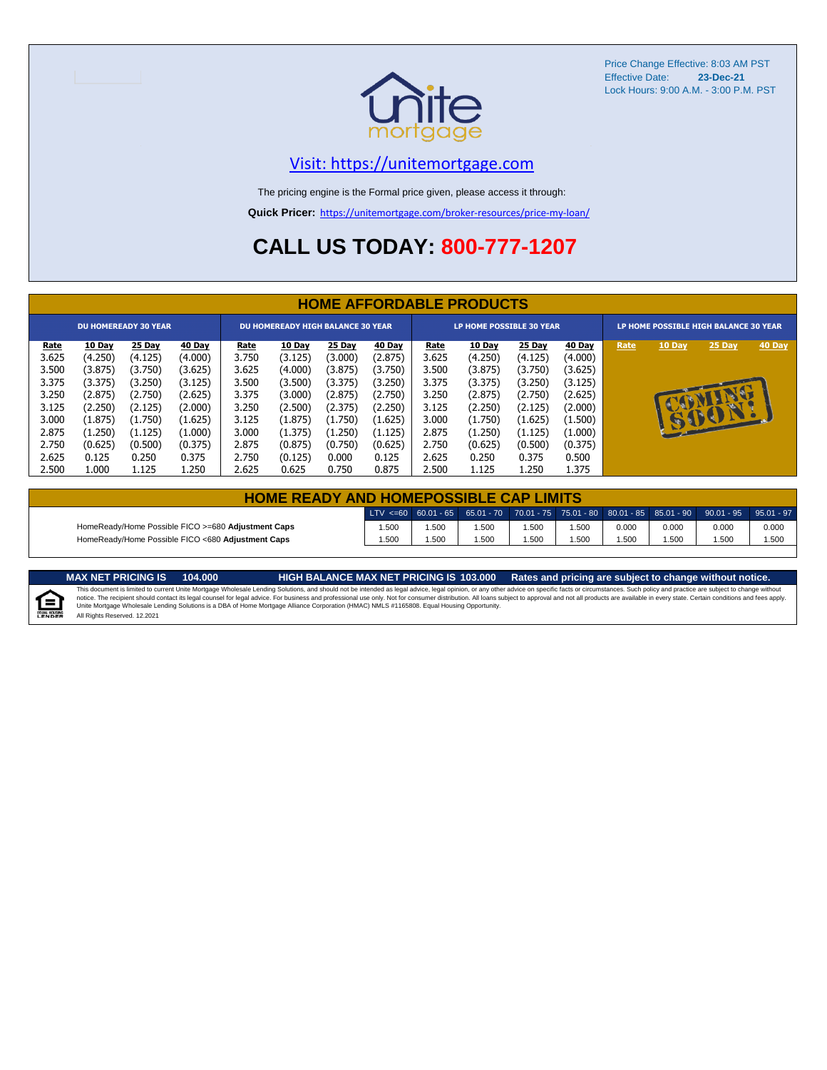

#### [V](https://unitemortgage.com/)isit: https://unitemortgage.com

The pricing engine is the Formal price given, please access it through:

**Quick Pricer:** [https://un](https://unitemortgage.com/broker-resources/price-my-loan/)itemortgage.com/broker-resources/price-my-loan/

### **CALL US TODAY: 800-777-1207**

|             | <b>HOME AFFORDABLE PRODUCTS</b> |                             |         |                                          |               |         |         |                                 |         |         |         |                                       |            |        |        |
|-------------|---------------------------------|-----------------------------|---------|------------------------------------------|---------------|---------|---------|---------------------------------|---------|---------|---------|---------------------------------------|------------|--------|--------|
|             |                                 | <b>DU HOMEREADY 30 YEAR</b> |         | <b>DU HOMEREADY HIGH BALANCE 30 YEAR</b> |               |         |         | <b>LP HOME POSSIBLE 30 YEAR</b> |         |         |         | LP HOME POSSIBLE HIGH BALANCE 30 YEAR |            |        |        |
| <u>Rate</u> | 10 Day                          | 25 Day                      | 40 Day  | <b>Rate</b>                              | <b>10 Day</b> | 25 Day  | 40 Day  | <u>Rate</u>                     | 10 Day  | 25 Day  | 40 Day  | Rate                                  | 10 Day     | 25 Day | 40 Day |
| 3.625       | (4.250)                         | (4.125)                     | (4.000) | 3.750                                    | (3.125)       | (3.000) | (2.875) | 3.625                           | (4.250) | (4.125) | (4.000) |                                       |            |        |        |
| 3.500       | (3.875)                         | (3.750)                     | (3.625) | 3.625                                    | (4.000)       | (3.875) | (3.750) | 3.500                           | (3.875) | (3.750) | (3.625) |                                       |            |        |        |
| 3.375       | (3.375)                         | (3.250)                     | (3.125) | 3.500                                    | (3.500)       | (3.375) | (3.250) | 3.375                           | (3.375) | (3.250) | (3.125) |                                       |            |        |        |
| 3.250       | (2.875)                         | (2.750)                     | (2.625) | 3.375                                    | (3.000)       | (2.875) | (2.750) | 3.250                           | (2.875) | (2.750) | (2.625) |                                       |            |        |        |
| 3.125       | (2.250)                         | (2.125)                     | (2.000) | 3.250                                    | (2.500)       | (2.375) | (2.250) | 3.125                           | (2.250) | (2.125) | (2.000) |                                       |            |        |        |
| 3.000       | (1.875)                         | (1.750)                     | (1.625) | 3.125                                    | (1.875)       | (1.750) | (1.625) | 3.000                           | (1.750) | (1.625) | (1.500) |                                       | <b>EXI</b> | BO     |        |
| 2.875       | (1.250)                         | (1.125)                     | (1.000) | 3.000                                    | (1.375)       | (1.250) | (1.125) | 2.875                           | (1.250) | (1.125) | (1.000) |                                       |            |        |        |
| 2.750       | (0.625)                         | (0.500)                     | (0.375) | 2.875                                    | (0.875)       | (0.750) | (0.625) | 2.750                           | (0.625) | (0.500) | (0.375) |                                       |            |        |        |
| 2.625       | 0.125                           | 0.250                       | 0.375   | 2.750                                    | (0.125)       | 0.000   | 0.125   | 2.625                           | 0.250   | 0.375   | 0.500   |                                       |            |        |        |
| 2.500       | 1.000                           | 1.125                       | 1.250   | 2.625                                    | 0.625         | 0.750   | 0.875   | 2.500                           | 1.125   | 1.250   | 1.375   |                                       |            |        |        |

|                                                    | <b>HOME READY AND HOMEPOSSIBLE CAP LIMITS</b> |       |      |      |       |       |       |                                                                                                  |       |  |  |  |
|----------------------------------------------------|-----------------------------------------------|-------|------|------|-------|-------|-------|--------------------------------------------------------------------------------------------------|-------|--|--|--|
|                                                    |                                               |       |      |      |       |       |       | LTV <=60 60.01 - 65 65.01 - 70 70.01 - 75 75.01 - 80 80.01 - 85 85.01 - 90 90.01 - 95 95.01 - 97 |       |  |  |  |
| HomeReady/Home Possible FICO >=680 Adjustment Caps | .500                                          | 1.500 | .500 | .500 | 1.500 | 0.000 | 0.000 | 0.000                                                                                            | 0.000 |  |  |  |
| HomeReady/Home Possible FICO <680 Adjustment Caps  | 1.500                                         | .500  | .500 | .500 | 500،، | .500  | 1.500 | .500                                                                                             | 1.500 |  |  |  |

E

MAX NET PRICING IS 103.000 Rates and pricing are subject to change without notice.<br>This document is limited to current Unite Mortgage Wholesale Lending Solutions, and should not be intended as legal advice, legal opinion, All Rights Reserved. 12.2021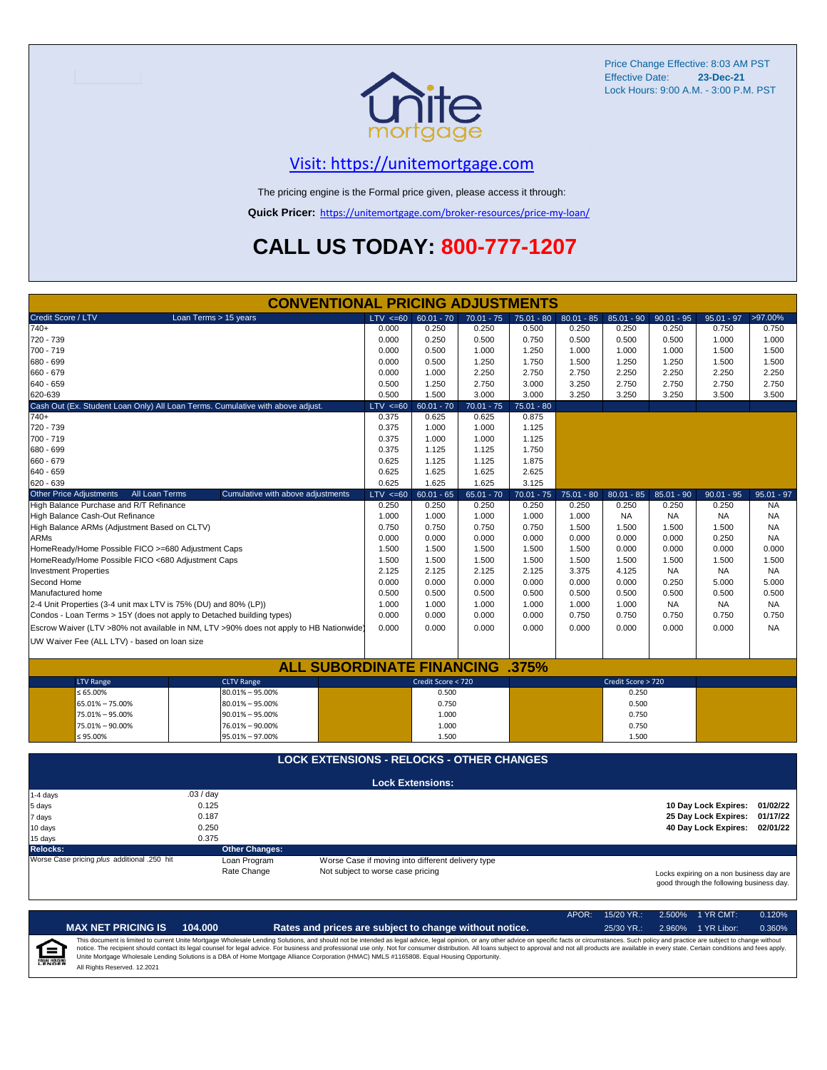

#### [V](https://unitemortgage.com/)isit: https://unitemortgage.com

The pricing engine is the Formal price given, please access it through:

**Quick Pricer:** [https://un](https://unitemortgage.com/broker-resources/price-my-loan/)itemortgage.com/broker-resources/price-my-loan/

## **CALL US TODAY: 800-777-1207**

|                                                                       | <b>CONVENTIONAL PRICING ADJUSTMENTS</b>                                                |                                                   |                         |              |              |              |                    |              |                                                                                      |              |
|-----------------------------------------------------------------------|----------------------------------------------------------------------------------------|---------------------------------------------------|-------------------------|--------------|--------------|--------------|--------------------|--------------|--------------------------------------------------------------------------------------|--------------|
| Credit Score / LTV                                                    | Loan Terms > 15 years                                                                  | $LTV \le 60$                                      | $60.01 - 70$            | $70.01 - 75$ | $75.01 - 80$ | $80.01 - 85$ | $85.01 - 90$       | $90.01 - 95$ | $95.01 - 97$                                                                         | >97.00%      |
| $740+$                                                                |                                                                                        | 0.000                                             | 0.250                   | 0.250        | 0.500        | 0.250        | 0.250              | 0.250        | 0.750                                                                                | 0.750        |
| 720 - 739                                                             |                                                                                        | 0.000                                             | 0.250                   | 0.500        | 0.750        | 0.500        | 0.500              | 0.500        | 1.000                                                                                | 1.000        |
| 700 - 719                                                             |                                                                                        | 0.000                                             | 0.500                   | 1.000        | 1.250        | 1.000        | 1.000              | 1.000        | 1.500                                                                                | 1.500        |
| 680 - 699                                                             |                                                                                        | 0.000                                             | 0.500                   | 1.250        | 1.750        | 1.500        | 1.250              | 1.250        | 1.500                                                                                | 1.500        |
| 660 - 679                                                             |                                                                                        | 0.000                                             | 1.000                   | 2.250        | 2.750        | 2.750        | 2.250              | 2.250        | 2.250                                                                                | 2.250        |
| $640 - 659$                                                           |                                                                                        | 0.500                                             | 1.250                   | 2.750        | 3.000        | 3.250        | 2.750              | 2.750        | 2.750                                                                                | 2.750        |
| 620-639                                                               |                                                                                        | 0.500                                             | 1.500                   | 3.000        | 3.000        | 3.250        | 3.250              | 3.250        | 3.500                                                                                | 3.500        |
|                                                                       | Cash Out (Ex. Student Loan Only) All Loan Terms. Cumulative with above adjust.         | $LTV \le 60$                                      | $60.01 - 70$            | $70.01 - 75$ | $75.01 - 80$ |              |                    |              |                                                                                      |              |
| $740+$                                                                |                                                                                        | 0.375                                             | 0.625                   | 0.625        | 0.875        |              |                    |              |                                                                                      |              |
| 720 - 739                                                             |                                                                                        | 0.375                                             | 1.000                   | 1.000        | 1.125        |              |                    |              |                                                                                      |              |
| 700 - 719                                                             |                                                                                        | 0.375                                             | 1.000                   | 1.000        | 1.125        |              |                    |              |                                                                                      |              |
| 680 - 699                                                             |                                                                                        | 0.375                                             | 1.125                   | 1.125        | 1.750        |              |                    |              |                                                                                      |              |
| 660 - 679                                                             |                                                                                        | 0.625                                             | 1.125                   | 1.125        | 1.875        |              |                    |              |                                                                                      |              |
| 640 - 659                                                             |                                                                                        | 0.625                                             | 1.625                   | 1.625        | 2.625        |              |                    |              |                                                                                      |              |
| 620 - 639                                                             |                                                                                        | 0.625                                             | 1.625                   | 1.625        | 3.125        |              |                    |              |                                                                                      |              |
| <b>Other Price Adjustments</b><br>All Loan Terms                      | Cumulative with above adjustments                                                      | $LTV \le 60$                                      | $60.01 - 65$            | $65.01 - 70$ | $70.01 - 75$ | $75.01 - 80$ | $80.01 - 85$       | $85.01 - 90$ | $90.01 - 95$                                                                         | $95.01 - 97$ |
| High Balance Purchase and R/T Refinance                               |                                                                                        | 0.250                                             | 0.250                   | 0.250        | 0.250        | 0.250        | 0.250              | 0.250        | 0.250                                                                                | <b>NA</b>    |
| High Balance Cash-Out Refinance                                       |                                                                                        | 1.000                                             | 1.000                   | 1.000        | 1.000        | 1.000        | <b>NA</b>          | <b>NA</b>    | <b>NA</b>                                                                            | <b>NA</b>    |
| High Balance ARMs (Adjustment Based on CLTV)                          |                                                                                        | 0.750                                             | 0.750                   | 0.750        | 0.750        | 1.500        | 1.500              | 1.500        | 1.500                                                                                | <b>NA</b>    |
| <b>ARMs</b>                                                           |                                                                                        | 0.000                                             | 0.000                   | 0.000        | 0.000        | 0.000        | 0.000              | 0.000        | 0.250                                                                                | <b>NA</b>    |
| HomeReady/Home Possible FICO >=680 Adjustment Caps                    |                                                                                        | 1.500                                             | 1.500                   | 1.500        | 1.500        | 1.500        | 0.000              | 0.000        | 0.000                                                                                | 0.000        |
| HomeReady/Home Possible FICO <680 Adjustment Caps                     |                                                                                        | 1.500                                             | 1.500                   | 1.500        | 1.500        | 1.500        | 1.500              | 1.500        | 1.500                                                                                | 1.500        |
| <b>Investment Properties</b>                                          |                                                                                        | 2.125                                             | 2.125                   | 2.125        | 2.125        | 3.375        | 4.125              | <b>NA</b>    | <b>NA</b>                                                                            | NA.          |
| Second Home                                                           |                                                                                        | 0.000                                             | 0.000                   | 0.000        | 0.000        | 0.000        | 0.000              | 0.250        | 5.000                                                                                | 5.000        |
| Manufactured home                                                     |                                                                                        | 0.500                                             | 0.500                   | 0.500        | 0.500        | 0.500        | 0.500              | 0.500        | 0.500                                                                                | 0.500        |
| 2-4 Unit Properties (3-4 unit max LTV is 75% (DU) and 80% (LP))       |                                                                                        | 1.000                                             | 1.000                   | 1.000        | 1.000        | 1.000        | 1.000              | <b>NA</b>    | <b>NA</b>                                                                            | NA.          |
| Condos - Loan Terms > 15Y (does not apply to Detached building types) |                                                                                        | 0.000                                             | 0.000                   | 0.000        | 0.000        | 0.750        | 0.750              | 0.750        | 0.750                                                                                | 0.750        |
|                                                                       | Escrow Waiver (LTV >80% not available in NM, LTV >90% does not apply to HB Nationwide) | 0.000                                             | 0.000                   | 0.000        | 0.000        | 0.000        | 0.000              | 0.000        | 0.000                                                                                | <b>NA</b>    |
| UW Waiver Fee (ALL LTV) - based on loan size                          |                                                                                        |                                                   |                         |              |              |              |                    |              |                                                                                      |              |
|                                                                       |                                                                                        |                                                   |                         |              |              |              |                    |              |                                                                                      |              |
|                                                                       | <b>ALL SUBORDINATE FINANCING</b>                                                       |                                                   |                         |              | $.375\%$     |              |                    |              |                                                                                      |              |
| <b>LTV Range</b>                                                      | <b>CLTV Range</b>                                                                      |                                                   | Credit Score < 720      |              |              |              | Credit Score > 720 |              |                                                                                      |              |
| ≤ 65.00%                                                              | $80.01\% - 95.00\%$                                                                    |                                                   | 0.500                   |              |              |              | 0.250              |              |                                                                                      |              |
| 65.01% - 75.00%                                                       | $80.01\% - 95.00\%$                                                                    |                                                   | 0.750                   |              |              |              | 0.500              |              |                                                                                      |              |
| 75.01% - 95.00%                                                       | $90.01\% - 95.00\%$                                                                    |                                                   | 1.000                   |              |              |              | 0.750              |              |                                                                                      |              |
| 75.01% - 90.00%                                                       | 76.01% - 90.00%                                                                        |                                                   | 1.000                   |              |              |              | 0.750              |              |                                                                                      |              |
| $$95.00\%$                                                            | 95.01% - 97.00%                                                                        |                                                   | 1.500                   |              |              |              | 1.500              |              |                                                                                      |              |
|                                                                       |                                                                                        |                                                   |                         |              |              |              |                    |              |                                                                                      |              |
|                                                                       | <b>LOCK EXTENSIONS - RELOCKS - OTHER CHANGES</b>                                       |                                                   |                         |              |              |              |                    |              |                                                                                      |              |
|                                                                       |                                                                                        |                                                   | <b>Lock Extensions:</b> |              |              |              |                    |              |                                                                                      |              |
| 1-4 days                                                              | .03/day                                                                                |                                                   |                         |              |              |              |                    |              |                                                                                      |              |
| 5 days                                                                | 0.125                                                                                  |                                                   |                         |              |              |              |                    |              | 10 Day Lock Expires:                                                                 | 01/02/22     |
| 7 days                                                                | 0.187                                                                                  |                                                   |                         |              |              |              |                    |              | 25 Day Lock Expires:                                                                 | 01/17/22     |
| 10 days                                                               | 0.250                                                                                  |                                                   |                         |              |              |              |                    |              | 40 Day Lock Expires:                                                                 | 02/01/22     |
| 15 days                                                               | 0.375                                                                                  |                                                   |                         |              |              |              |                    |              |                                                                                      |              |
| <b>Relocks:</b>                                                       | <b>Other Changes:</b>                                                                  |                                                   |                         |              |              |              |                    |              |                                                                                      |              |
| Worse Case pricing plus additional .250 hit                           | Loan Program                                                                           | Worse Case if moving into different delivery type |                         |              |              |              |                    |              |                                                                                      |              |
|                                                                       | Rate Change                                                                            | Not subject to worse case pricing                 |                         |              |              |              |                    |              | Locks expiring on a non business day are<br>good through the following business day. |              |

|                            |                              |         |                                                                                                                                                                                                                                                                                                                                                                                                                                                                                                                                                                                                                | APOR: | $15/20$ YR.: | $2.500\%$ 1 YR CMT: | 0.120% |
|----------------------------|------------------------------|---------|----------------------------------------------------------------------------------------------------------------------------------------------------------------------------------------------------------------------------------------------------------------------------------------------------------------------------------------------------------------------------------------------------------------------------------------------------------------------------------------------------------------------------------------------------------------------------------------------------------------|-------|--------------|---------------------|--------|
|                            | <b>MAX NET PRICING IS</b>    | 104.000 | Rates and prices are subject to change without notice.                                                                                                                                                                                                                                                                                                                                                                                                                                                                                                                                                         |       | $25/30$ YR.: | 2.960% 1 YR Libor:  | 0.360% |
| ſ≘<br><b>EQUAL HOUSING</b> | All Rights Reserved, 12,2021 |         | This document is limited to current Unite Mortgage Wholesale Lending Solutions, and should not be intended as legal advice, legal opinion, or any other advice on specific facts or circumstances. Such policy and practice ar<br>notice. The recipient should contact its legal counsel for legal advice. For business and professional use only. Not for consumer distribution. All loans subject to approval and not all products are available in every stat<br>Unite Mortgage Wholesale Lending Solutions is a DBA of Home Mortgage Alliance Corporation (HMAC) NMLS #1165808. Equal Housing Opportunity. |       |              |                     |        |